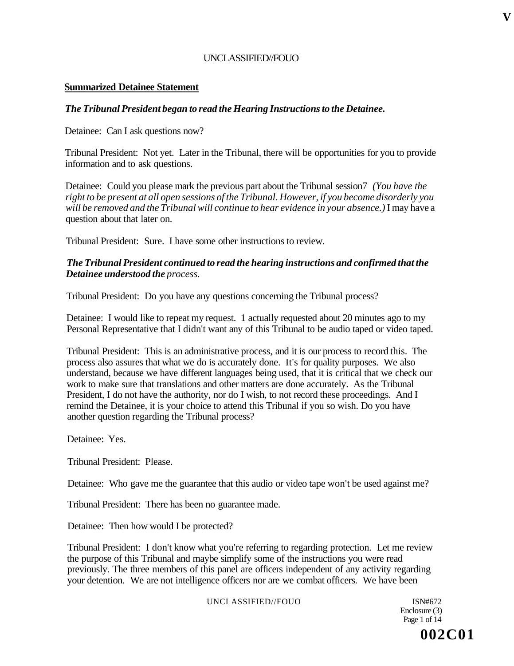#### **Summarized Detainee Statement**

#### *The Tribunal President began to read the Hearing Instructions to the Detainee.*

Detainee: Can I ask questions now?

Tribunal President: Not yet. Later in the Tribunal, there will be opportunities for you to provide information and to ask questions.

Detainee: Could you please mark the previous part about the Tribunal session7 *(You have the right to be present at all open sessions of the Tribunal. However, if you become disorderly you will be removed and the Tribunal will continue to hear evidence in your absence.)* I may have a question about that later on.

Tribunal President: Sure. I have some other instructions to review.

#### *The Tribunal President continued to read the hearing instructions and confirmed that the Detainee understood the process.*

Tribunal President: Do you have any questions concerning the Tribunal process?

Detainee: I would like to repeat my request. 1 actually requested about 20 minutes ago to my Personal Representative that I didn't want any of this Tribunal to be audio taped or video taped.

Tribunal President: This is an administrative process, and it is our process to record this. The process also assures that what we do is accurately done. It's for quality purposes. We also understand, because we have different languages being used, that it is critical that we check our work to make sure that translations and other matters are done accurately. As the Tribunal President, I do not have the authority, nor do I wish, to not record these proceedings. And I remind the Detainee, it is your choice to attend this Tribunal if you so wish. Do you have another question regarding the Tribunal process?

Detainee: Yes.

Tribunal President: Please.

Detainee: Who gave me the guarantee that this audio or video tape won't be used against me?

Tribunal President: There has been no guarantee made.

Detainee: Then how would I be protected?

Tribunal President: I don't know what you're referring to regarding protection. Let me review the purpose of this Tribunal and maybe simplify some of the instructions you were read previously. The three members of this panel are officers independent of any activity regarding your detention. We are not intelligence officers nor are we combat officers. We have been

UNCLASSIFIED//FOUO ISN#672

Enclosure (3) Page 1 of 14

**002C01**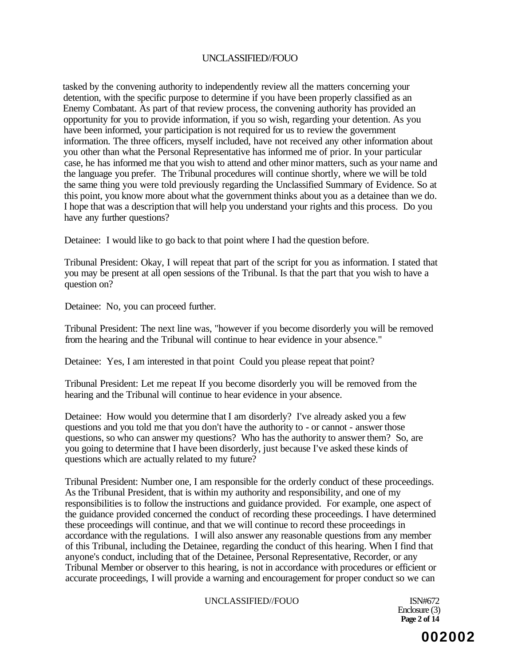tasked by the convening authority to independently review all the matters concerning your detention, with the specific purpose to determine if you have been properly classified as an Enemy Combatant. As part of that review process, the convening authority has provided an opportunity for you to provide information, if you so wish, regarding your detention. As you have been informed, your participation is not required for us to review the government information. The three officers, myself included, have not received any other information about you other than what the Personal Representative has informed me of prior. In your particular case, he has informed me that you wish to attend and other minor matters, such as your name and the language you prefer. The Tribunal procedures will continue shortly, where we will be told the same thing you were told previously regarding the Unclassified Summary of Evidence. So at this point, you know more about what the government thinks about you as a detainee than we do. I hope that was a description that will help you understand your rights and this process. Do you have any further questions?

Detainee: I would like to go back to that point where I had the question before.

Tribunal President: Okay, I will repeat that part of the script for you as information. I stated that you may be present at all open sessions of the Tribunal. Is that the part that you wish to have a question on?

Detainee: No, you can proceed further.

Tribunal President: The next line was, "however if you become disorderly you will be removed from the hearing and the Tribunal will continue to hear evidence in your absence."

Detainee: Yes, I am interested in that point Could you please repeat that point?

Tribunal President: Let me repeat If you become disorderly you will be removed from the hearing and the Tribunal will continue to hear evidence in your absence.

Detainee: How would you determine that I am disorderly? I've already asked you a few questions and you told me that you don't have the authority to - or cannot - answer those questions, so who can answer my questions? Who has the authority to answer them? So, are you going to determine that I have been disorderly, just because I've asked these kinds of questions which are actually related to my future?

Tribunal President: Number one, I am responsible for the orderly conduct of these proceedings. As the Tribunal President, that is within my authority and responsibility, and one of my responsibilities is to follow the instructions and guidance provided. For example, one aspect of the guidance provided concerned the conduct of recording these proceedings. I have determined these proceedings will continue, and that we will continue to record these proceedings in accordance with the regulations. I will also answer any reasonable questions from any member of this Tribunal, including the Detainee, regarding the conduct of this hearing. When I find that anyone's conduct, including that of the Detainee, Personal Representative, Recorder, or any Tribunal Member or observer to this hearing, is not in accordance with procedures or efficient or accurate proceedings, I will provide a warning and encouragement for proper conduct so we can

#### UNCLASSIFIED//FOUO ISN#672

Enclosure (3) **Page 2 of 14** 

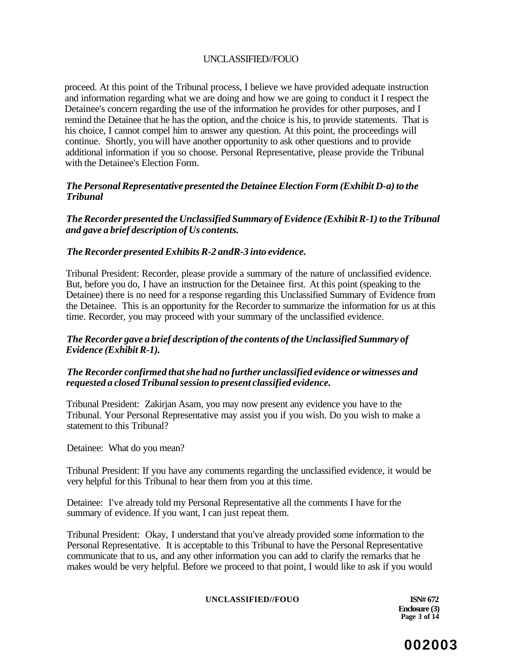proceed. At this point of the Tribunal process, I believe we have provided adequate instruction and information regarding what we are doing and how we are going to conduct it I respect the Detainee's concern regarding the use of the information he provides for other purposes, and I remind the Detainee that he has the option, and the choice is his, to provide statements. That is his choice, I cannot compel him to answer any question. At this point, the proceedings will continue. Shortly, you will have another opportunity to ask other questions and to provide additional information if you so choose. Personal Representative, please provide the Tribunal with the Detainee's Election Form.

#### *The Personal Representative presented the Detainee Election Form (Exhibit D-a) to the Tribunal*

#### *The Recorder presented the Unclassified Summary of Evidence (Exhibit R-1) to the Tribunal and gave a brief description of Us contents.*

#### *The Recorder presented Exhibits R-2 andR-3 into evidence.*

Tribunal President: Recorder, please provide a summary of the nature of unclassified evidence. But, before you do, I have an instruction for the Detainee first. At this point (speaking to the Detainee) there is no need for a response regarding this Unclassified Summary of Evidence from the Detainee. This is an opportunity for the Recorder to summarize the information for us at this time. Recorder, you may proceed with your summary of the unclassified evidence.

#### *The Recorder gave a brief description of the contents of the Unclassified Summary of Evidence (Exhibit R-1).*

#### *The Recorder confirmed that she had no further unclassified evidence or witnesses and requested a closed Tribunal session to present classified evidence.*

Tribunal President: Zakirjan Asam, you may now present any evidence you have to the Tribunal. Your Personal Representative may assist you if you wish. Do you wish to make a statement to this Tribunal?

Detainee: What do you mean?

Tribunal President: If you have any comments regarding the unclassified evidence, it would be very helpful for this Tribunal to hear them from you at this time.

Detainee: I've already told my Personal Representative all the comments I have for the summary of evidence. If you want, I can just repeat them.

Tribunal President: Okay, I understand that you've already provided some information to the Personal Representative. It is acceptable to this Tribunal to have the Personal Representative communicate that to us, and any other information you can add to clarify the remarks that he makes would be very helpful. Before we proceed to that point, I would like to ask if you would

#### UNCLASSIFIED//FOUO **ISN# 672**

**Enclosure (3) Page 3 of 14** 

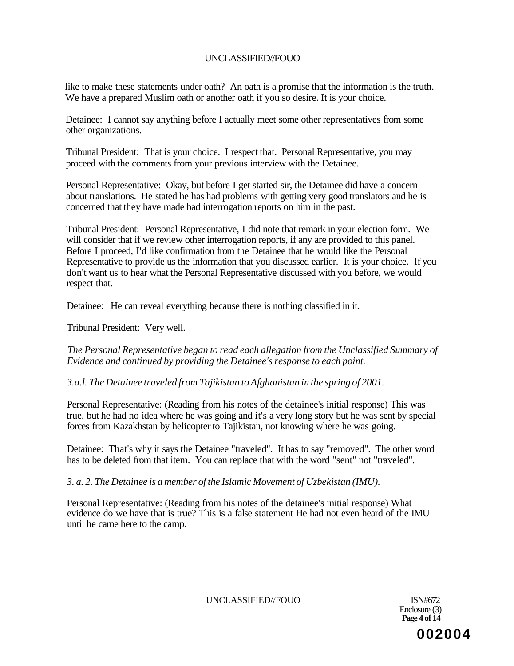like to make these statements under oath? An oath is a promise that the information is the truth. We have a prepared Muslim oath or another oath if you so desire. It is your choice.

Detainee: I cannot say anything before I actually meet some other representatives from some other organizations.

Tribunal President: That is your choice. I respect that. Personal Representative, you may proceed with the comments from your previous interview with the Detainee.

Personal Representative: Okay, but before I get started sir, the Detainee did have a concern about translations. He stated he has had problems with getting very good translators and he is concerned that they have made bad interrogation reports on him in the past.

Tribunal President: Personal Representative, I did note that remark in your election form. We will consider that if we review other interrogation reports, if any are provided to this panel. Before I proceed, I'd like confirmation from the Detainee that he would like the Personal Representative to provide us the information that you discussed earlier. It is your choice. If you don't want us to hear what the Personal Representative discussed with you before, we would respect that.

Detainee: He can reveal everything because there is nothing classified in it.

Tribunal President: Very well.

*The Personal Representative began to read each allegation from the Unclassified Summary of Evidence and continued by providing the Detainee's response to each point.* 

*3.a.l. The Detainee traveled from Tajikistan to Afghanistan in the spring of 2001.* 

Personal Representative: (Reading from his notes of the detainee's initial response) This was true, but he had no idea where he was going and it's a very long story but he was sent by special forces from Kazakhstan by helicopter to Tajikistan, not knowing where he was going.

Detainee: That's why it says the Detainee "traveled". It has to say "removed". The other word has to be deleted from that item. You can replace that with the word "sent" not "traveled".

*3. a. 2. The Detainee is a member of the Islamic Movement of Uzbekistan (IMU).* 

Personal Representative: (Reading from his notes of the detainee's initial response) What evidence do we have that is true? This is a false statement He had not even heard of the IMU until he came here to the camp.

UNCLASSIFIED//FOUO ISN#672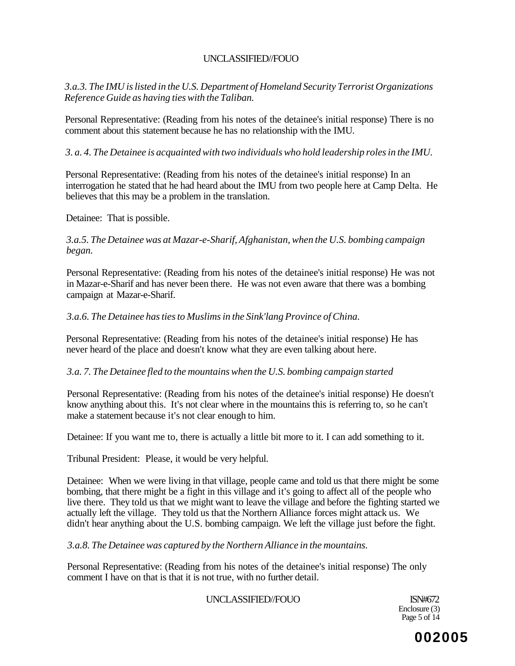*3.a.3. The IMU is listed in the U.S. Department of Homeland Security Terrorist Organizations Reference Guide as having ties with the Taliban.* 

Personal Representative: (Reading from his notes of the detainee's initial response) There is no comment about this statement because he has no relationship with the IMU.

#### *3. a. 4. The Detainee is acquainted with two individuals who hold leadership roles in the IMU.*

Personal Representative: (Reading from his notes of the detainee's initial response) In an interrogation he stated that he had heard about the IMU from two people here at Camp Delta. He believes that this may be a problem in the translation.

Detainee: That is possible.

#### *3.a.5. The Detainee was at Mazar-e-Sharif, Afghanistan, when the U.S. bombing campaign began.*

Personal Representative: (Reading from his notes of the detainee's initial response) He was not in Mazar-e-Sharif and has never been there. He was not even aware that there was a bombing campaign at Mazar-e-Sharif.

#### *3.a.6. The Detainee has ties to Muslims in the Sink'lang Province of China.*

Personal Representative: (Reading from his notes of the detainee's initial response) He has never heard of the place and doesn't know what they are even talking about here.

#### *3.a. 7. The Detainee fled to the mountains when the U.S. bombing campaign started*

Personal Representative: (Reading from his notes of the detainee's initial response) He doesn't know anything about this. It's not clear where in the mountains this is referring to, so he can't make a statement because it's not clear enough to him.

Detainee: If you want me to, there is actually a little bit more to it. I can add something to it.

Tribunal President: Please, it would be very helpful.

Detainee: When we were living in that village, people came and told us that there might be some bombing, that there might be a fight in this village and it's going to affect all of the people who live there. They told us that we might want to leave the village and before the fighting started we actually left the village. They told us that the Northern Alliance forces might attack us. We didn't hear anything about the U.S. bombing campaign. We left the village just before the fight.

#### *3.a.8. The Detainee was captured by the Northern Alliance in the mountains.*

Personal Representative: (Reading from his notes of the detainee's initial response) The only comment I have on that is that it is not true, with no further detail.

#### UNCLASSIFIED//FOUO ISN#672

Enclosure (3) Page 5 of 14

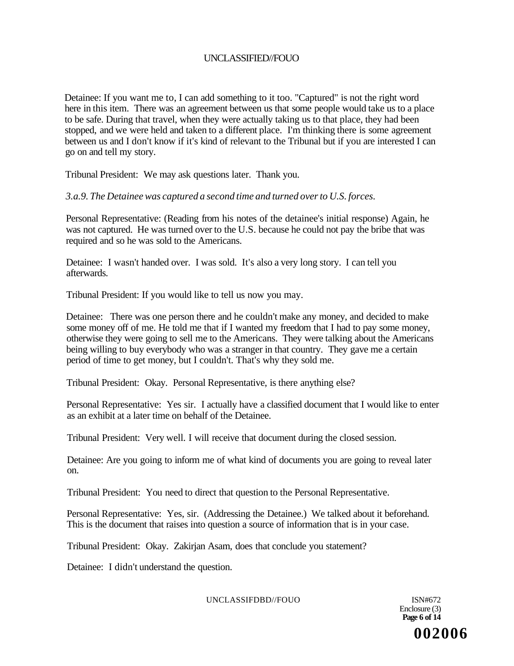Detainee: If you want me to, I can add something to it too. "Captured" is not the right word here in this item. There was an agreement between us that some people would take us to a place to be safe. During that travel, when they were actually taking us to that place, they had been stopped, and we were held and taken to a different place. I'm thinking there is some agreement between us and I don't know if it's kind of relevant to the Tribunal but if you are interested I can go on and tell my story.

Tribunal President: We may ask questions later. Thank you.

*3.a.9. The Detainee was captured a second time and turned over to U.S. forces.* 

Personal Representative: (Reading from his notes of the detainee's initial response) Again, he was not captured. He was turned over to the U.S. because he could not pay the bribe that was required and so he was sold to the Americans.

Detainee: I wasn't handed over. I was sold. It's also a very long story. I can tell you afterwards.

Tribunal President: If you would like to tell us now you may.

Detainee: There was one person there and he couldn't make any money, and decided to make some money off of me. He told me that if I wanted my freedom that I had to pay some money, otherwise they were going to sell me to the Americans. They were talking about the Americans being willing to buy everybody who was a stranger in that country. They gave me a certain period of time to get money, but I couldn't. That's why they sold me.

Tribunal President: Okay. Personal Representative, is there anything else?

Personal Representative: Yes sir. I actually have a classified document that I would like to enter as an exhibit at a later time on behalf of the Detainee.

Tribunal President: Very well. I will receive that document during the closed session.

Detainee: Are you going to inform me of what kind of documents you are going to reveal later on.

Tribunal President: You need to direct that question to the Personal Representative.

Personal Representative: Yes, sir. (Addressing the Detainee.) We talked about it beforehand. This is the document that raises into question a source of information that is in your case.

Tribunal President: Okay. Zakirjan Asam, does that conclude you statement?

Detainee: I didn't understand the question.

UNCLASSIFDBD//FOUO ISN#672

Enclosure (3) **Page 6 of 14 002006**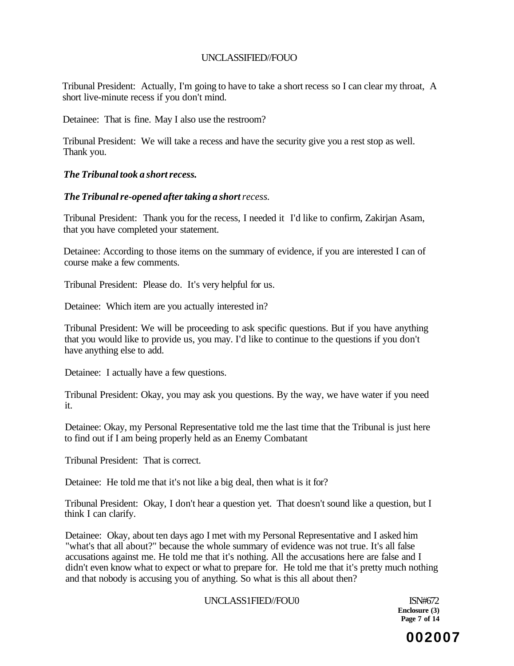Tribunal President: Actually, I'm going to have to take a short recess so I can clear my throat, A short live-minute recess if you don't mind.

Detainee: That is fine. May I also use the restroom?

Tribunal President: We will take a recess and have the security give you a rest stop as well. Thank you.

#### *The Tribunal took a short recess.*

#### *The Tribunal re-opened after taking a short recess.*

Tribunal President: Thank you for the recess, I needed it I'd like to confirm, Zakirjan Asam, that you have completed your statement.

Detainee: According to those items on the summary of evidence, if you are interested I can of course make a few comments.

Tribunal President: Please do. It's very helpful for us.

Detainee: Which item are you actually interested in?

Tribunal President: We will be proceeding to ask specific questions. But if you have anything that you would like to provide us, you may. I'd like to continue to the questions if you don't have anything else to add.

Detainee: I actually have a few questions.

Tribunal President: Okay, you may ask you questions. By the way, we have water if you need it.

Detainee: Okay, my Personal Representative told me the last time that the Tribunal is just here to find out if I am being properly held as an Enemy Combatant

Tribunal President: That is correct.

Detainee: He told me that it's not like a big deal, then what is it for?

Tribunal President: Okay, I don't hear a question yet. That doesn't sound like a question, but I think I can clarify.

Detainee: Okay, about ten days ago I met with my Personal Representative and I asked him "what's that all about?" because the whole summary of evidence was not true. It's all false accusations against me. He told me that it's nothing. All the accusations here are false and I didn't even know what to expect or what to prepare for. He told me that it's pretty much nothing and that nobody is accusing you of anything. So what is this all about then?

#### UNCLASS1FIED//FOU0 ISN#672

**Enclosure (3) Page 7 of 14** 

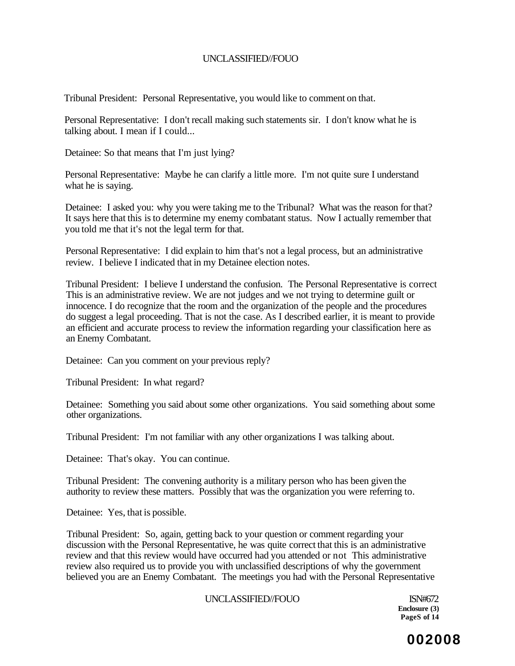Tribunal President: Personal Representative, you would like to comment on that.

Personal Representative: I don't recall making such statements sir. I don't know what he is talking about. I mean if I could...

Detainee: So that means that I'm just lying?

Personal Representative: Maybe he can clarify a little more. I'm not quite sure I understand what he is saying.

Detainee: I asked you: why you were taking me to the Tribunal? What was the reason for that? It says here that this is to determine my enemy combatant status. Now I actually remember that you told me that it's not the legal term for that.

Personal Representative: I did explain to him that's not a legal process, but an administrative review. I believe I indicated that in my Detainee election notes.

Tribunal President: I believe I understand the confusion. The Personal Representative is correct This is an administrative review. We are not judges and we not trying to determine guilt or innocence. I do recognize that the room and the organization of the people and the procedures do suggest a legal proceeding. That is not the case. As I described earlier, it is meant to provide an efficient and accurate process to review the information regarding your classification here as an Enemy Combatant.

Detainee: Can you comment on your previous reply?

Tribunal President: In what regard?

Detainee: Something you said about some other organizations. You said something about some other organizations.

Tribunal President: I'm not familiar with any other organizations I was talking about.

Detainee: That's okay. You can continue.

Tribunal President: The convening authority is a military person who has been given the authority to review these matters. Possibly that was the organization you were referring to.

Detainee: Yes, that is possible.

Tribunal President: So, again, getting back to your question or comment regarding your discussion with the Personal Representative, he was quite correct that this is an administrative review and that this review would have occurred had you attended or not This administrative review also required us to provide you with unclassified descriptions of why the government believed you are an Enemy Combatant. The meetings you had with the Personal Representative

#### UNCLASSIFIED//FOUO ISN#672

**Enclosure (3) PageS of 14** 

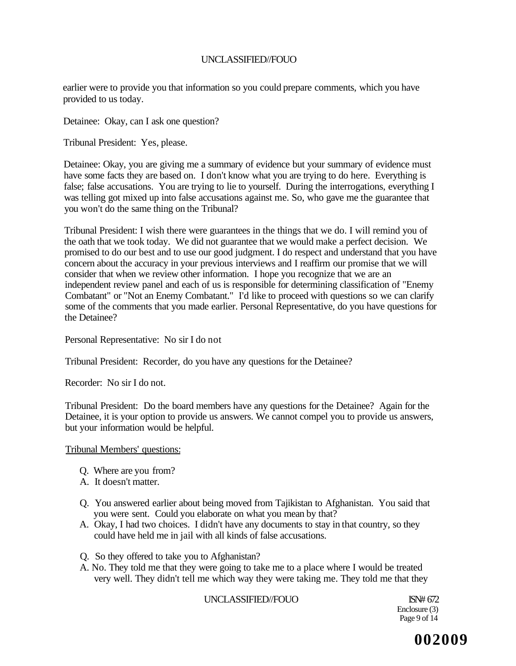earlier were to provide you that information so you could prepare comments, which you have provided to us today.

Detainee: Okay, can I ask one question?

Tribunal President: Yes, please.

Detainee: Okay, you are giving me a summary of evidence but your summary of evidence must have some facts they are based on. I don't know what you are trying to do here. Everything is false; false accusations. You are trying to lie to yourself. During the interrogations, everything I was telling got mixed up into false accusations against me. So, who gave me the guarantee that you won't do the same thing on the Tribunal?

Tribunal President: I wish there were guarantees in the things that we do. I will remind you of the oath that we took today. We did not guarantee that we would make a perfect decision. We promised to do our best and to use our good judgment. I do respect and understand that you have concern about the accuracy in your previous interviews and I reaffirm our promise that we will consider that when we review other information. I hope you recognize that we are an independent review panel and each of us is responsible for determining classification of "Enemy Combatant" or "Not an Enemy Combatant." I'd like to proceed with questions so we can clarify some of the comments that you made earlier. Personal Representative, do you have questions for the Detainee?

Personal Representative: No sir I do not

Tribunal President: Recorder, do you have any questions for the Detainee?

Recorder: No sir I do not.

Tribunal President: Do the board members have any questions for the Detainee? Again for the Detainee, it is your option to provide us answers. We cannot compel you to provide us answers, but your information would be helpful.

Tribunal Members' questions:

- Q. Where are you from?
- A. It doesn't matter.
- Q. You answered earlier about being moved from Tajikistan to Afghanistan. You said that you were sent. Could you elaborate on what you mean by that?
- A. Okay, I had two choices. I didn't have any documents to stay in that country, so they could have held me in jail with all kinds of false accusations.
- Q. So they offered to take you to Afghanistan?
- A. No. They told me that they were going to take me to a place where I would be treated very well. They didn't tell me which way they were taking me. They told me that they

UNCLASSIFIED//FOUO ISN# 672

Enclosure (3) Page 9 of 14

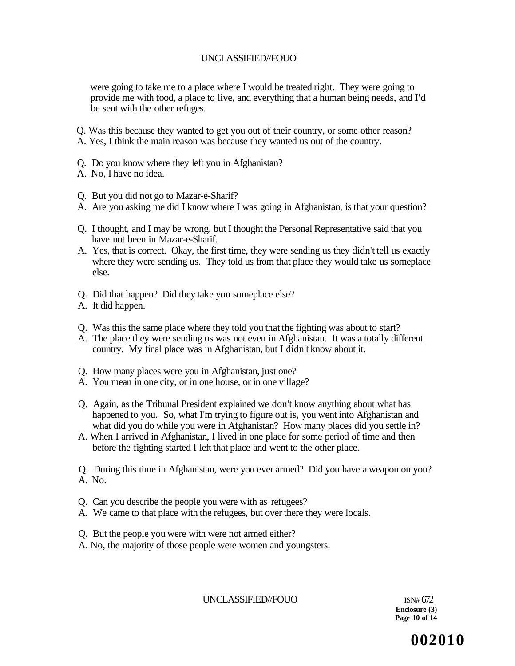were going to take me to a place where I would be treated right. They were going to provide me with food, a place to live, and everything that a human being needs, and I'd be sent with the other refuges.

Q. Was this because they wanted to get you out of their country, or some other reason?

- A. Yes, I think the main reason was because they wanted us out of the country.
- Q. Do you know where they left you in Afghanistan?
- A. No, I have no idea.
- Q. But you did not go to Mazar-e-Sharif?
- A. Are you asking me did I know where I was going in Afghanistan, is that your question?
- Q. I thought, and I may be wrong, but I thought the Personal Representative said that you have not been in Mazar-e-Sharif.
- A. Yes, that is correct. Okay, the first time, they were sending us they didn't tell us exactly where they were sending us. They told us from that place they would take us someplace else.
- Q. Did that happen? Did they take you someplace else?
- A. It did happen.
- Q. Was this the same place where they told you that the fighting was about to start?
- A. The place they were sending us was not even in Afghanistan. It was a totally different country. My final place was in Afghanistan, but I didn't know about it.
- Q. How many places were you in Afghanistan, just one?
- A. You mean in one city, or in one house, or in one village?
- Q. Again, as the Tribunal President explained we don't know anything about what has happened to you. So, what I'm trying to figure out is, you went into Afghanistan and what did you do while you were in Afghanistan? How many places did you settle in?
- A. When I arrived in Afghanistan, I lived in one place for some period of time and then before the fighting started I left that place and went to the other place.

Q. During this time in Afghanistan, were you ever armed? Did you have a weapon on you? A. No.

- Q. Can you describe the people you were with as refugees?
- A. We came to that place with the refugees, but over there they were locals.
- Q. But the people you were with were not armed either?
- A. No, the majority of those people were women and youngsters.

UNCLASSIFIED//FOUO ISN# 672

**Enclosure (3) Page 10 of 14** 

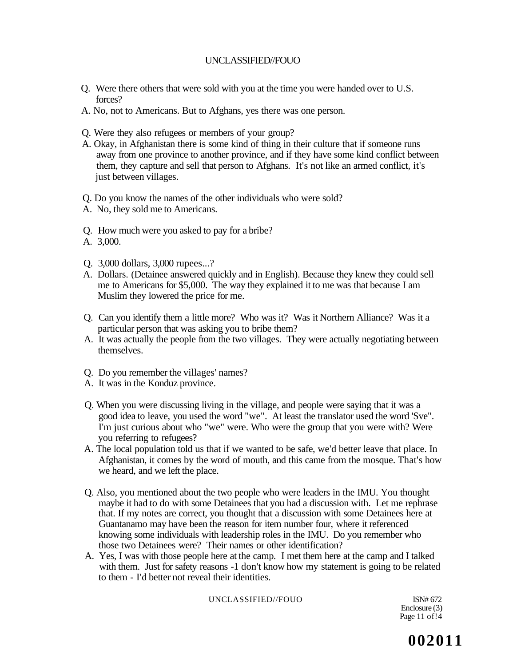- Q. Were there others that were sold with you at the time you were handed over to U.S. forces?
- A. No, not to Americans. But to Afghans, yes there was one person.
- Q. Were they also refugees or members of your group?
- A. Okay, in Afghanistan there is some kind of thing in their culture that if someone runs away from one province to another province, and if they have some kind conflict between them, they capture and sell that person to Afghans. It's not like an armed conflict, it's just between villages.
- Q. Do you know the names of the other individuals who were sold?
- A. No, they sold me to Americans.
- Q. How much were you asked to pay for a bribe?
- A. 3,000.
- Q. 3,000 dollars, 3,000 rupees...?
- A. Dollars. (Detainee answered quickly and in English). Because they knew they could sell me to Americans for \$5,000. The way they explained it to me was that because I am Muslim they lowered the price for me.
- Q. Can you identify them a little more? Who was it? Was it Northern Alliance? Was it a particular person that was asking you to bribe them?
- A. It was actually the people from the two villages. They were actually negotiating between themselves.
- Q. Do you remember the villages' names?
- A. It was in the Konduz province.
- Q. When you were discussing living in the village, and people were saying that it was a good idea to leave, you used the word "we". At least the translator used the word 'Sve". I'm just curious about who "we" were. Who were the group that you were with? Were you referring to refugees?
- A. The local population told us that if we wanted to be safe, we'd better leave that place. In Afghanistan, it comes by the word of mouth, and this came from the mosque. That's how we heard, and we left the place.
- Q. Also, you mentioned about the two people who were leaders in the IMU. You thought maybe it had to do with some Detainees that you had a discussion with. Let me rephrase that. If my notes are correct, you thought that a discussion with some Detainees here at Guantanamo may have been the reason for item number four, where it referenced knowing some individuals with leadership roles in the IMU. Do you remember who those two Detainees were? Their names or other identification?
- A. Yes, I was with those people here at the camp. I met them here at the camp and I talked with them. Just for safety reasons -1 don't know how my statement is going to be related to them - I'd better not reveal their identities.

UNCLASSIFIED//FOUO ISN# 672

Enclosure (3) Page 11 of!4

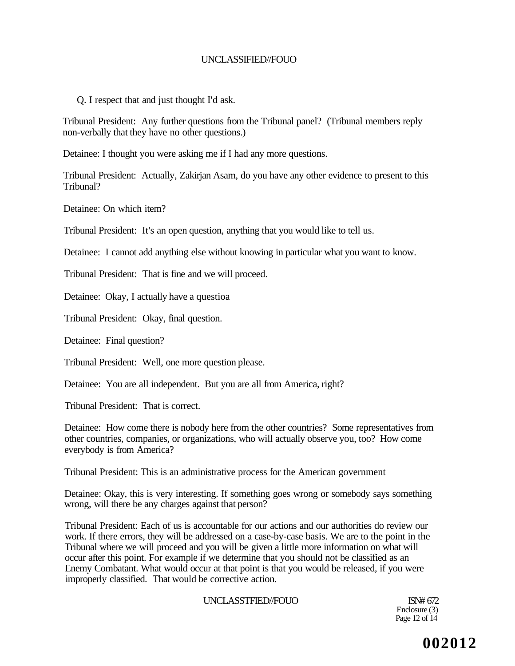Q. I respect that and just thought I'd ask.

Tribunal President: Any further questions from the Tribunal panel? (Tribunal members reply non-verbally that they have no other questions.)

Detainee: I thought you were asking me if I had any more questions.

Tribunal President: Actually, Zakirjan Asam, do you have any other evidence to present to this Tribunal?

Detainee: On which item?

Tribunal President: It's an open question, anything that you would like to tell us.

Detainee: I cannot add anything else without knowing in particular what you want to know.

Tribunal President: That is fine and we will proceed.

Detainee: Okay, I actually have a questioa

Tribunal President: Okay, final question.

Detainee: Final question?

Tribunal President: Well, one more question please.

Detainee: You are all independent. But you are all from America, right?

Tribunal President: That is correct.

Detainee: How come there is nobody here from the other countries? Some representatives from other countries, companies, or organizations, who will actually observe you, too? How come everybody is from America?

Tribunal President: This is an administrative process for the American government

Detainee: Okay, this is very interesting. If something goes wrong or somebody says something wrong, will there be any charges against that person?

Tribunal President: Each of us is accountable for our actions and our authorities do review our work. If there errors, they will be addressed on a case-by-case basis. We are to the point in the Tribunal where we will proceed and you will be given a little more information on what will occur after this point. For example if we determine that you should not be classified as an Enemy Combatant. What would occur at that point is that you would be released, if you were improperly classified. That would be corrective action.

#### UNCLASSTFIED//FOUO ISN# 672

Enclosure (3) Page 12 of 14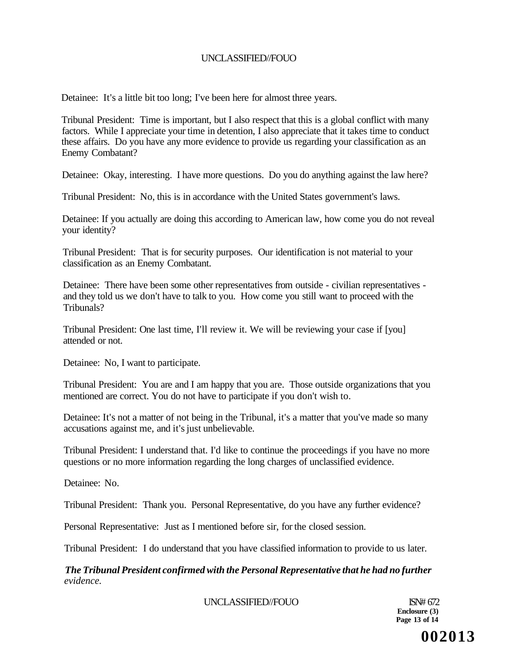Detainee: It's a little bit too long; I've been here for almost three years.

Tribunal President: Time is important, but I also respect that this is a global conflict with many factors. While I appreciate your time in detention, I also appreciate that it takes time to conduct these affairs. Do you have any more evidence to provide us regarding your classification as an Enemy Combatant?

Detainee: Okay, interesting. I have more questions. Do you do anything against the law here?

Tribunal President: No, this is in accordance with the United States government's laws.

Detainee: If you actually are doing this according to American law, how come you do not reveal your identity?

Tribunal President: That is for security purposes. Our identification is not material to your classification as an Enemy Combatant.

Detainee: There have been some other representatives from outside - civilian representatives and they told us we don't have to talk to you. How come you still want to proceed with the Tribunals?

Tribunal President: One last time, I'll review it. We will be reviewing your case if [you] attended or not.

Detainee: No, I want to participate.

Tribunal President: You are and I am happy that you are. Those outside organizations that you mentioned are correct. You do not have to participate if you don't wish to.

Detainee: It's not a matter of not being in the Tribunal, it's a matter that you've made so many accusations against me, and it's just unbelievable.

Tribunal President: I understand that. I'd like to continue the proceedings if you have no more questions or no more information regarding the long charges of unclassified evidence.

Detainee: No.

Tribunal President: Thank you. Personal Representative, do you have any further evidence?

Personal Representative: Just as I mentioned before sir, for the closed session.

Tribunal President: I do understand that you have classified information to provide to us later.

*The Tribunal President confirmed with the Personal Representative that he had no further evidence.* 

UNCLASSIFIED//FOUO ISN# 672

**Enclosure (3) Page 13 of 14**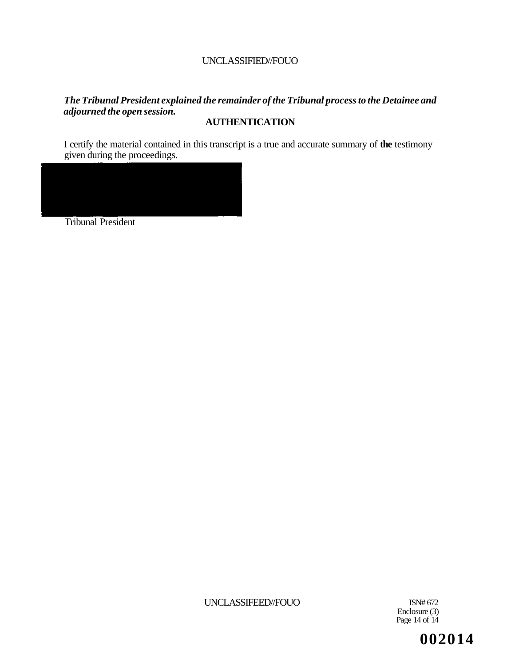### *The Tribunal President explained the remainder of the Tribunal process to the Detainee and adjourned the open session.*

### **AUTHENTICATION**

I certify the material contained in this transcript is a true and accurate summary of **the** testimony given during the proceedings.

Tribunal President

UNCLASSIFEED//FOUO ISN# 672

Enclosure (3) Page 14 of 14

**002014**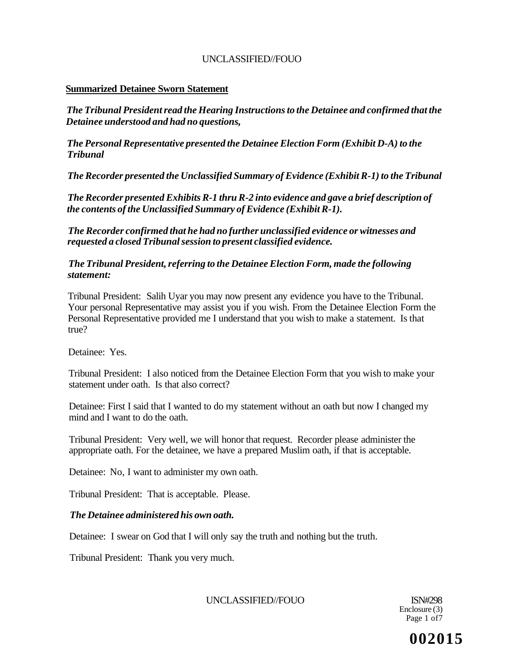#### **Summarized Detainee Sworn Statement**

*The Tribunal President read the Hearing Instructions to the Detainee and confirmed that the Detainee understood and had no questions,* 

*The Personal Representative presented the Detainee Election Form (Exhibit D-A) to the Tribunal* 

*The Recorder presented the Unclassified Summary of Evidence (Exhibit R-1) to the Tribunal* 

*The Recorder presented Exhibits R-1 thru R-2 into evidence and gave a brief description of the contents of the Unclassified Summary of Evidence (Exhibit R-1).* 

*The Recorder confirmed that he had no further unclassified evidence or witnesses and requested a closed Tribunal session to present classified evidence.* 

*The Tribunal President, referring to the Detainee Election Form, made the following statement:* 

Tribunal President: Salih Uyar you may now present any evidence you have to the Tribunal. Your personal Representative may assist you if you wish. From the Detainee Election Form the Personal Representative provided me I understand that you wish to make a statement. Is that true?

Detainee: Yes.

Tribunal President: I also noticed from the Detainee Election Form that you wish to make your statement under oath. Is that also correct?

Detainee: First I said that I wanted to do my statement without an oath but now I changed my mind and I want to do the oath.

Tribunal President: Very well, we will honor that request. Recorder please administer the appropriate oath. For the detainee, we have a prepared Muslim oath, if that is acceptable.

Detainee: No, I want to administer my own oath.

Tribunal President: That is acceptable. Please.

#### *The Detainee administered his own oath.*

Detainee: I swear on God that I will only say the truth and nothing but the truth.

Tribunal President: Thank you very much.

UNCLASSIFIED//FOUO ISN#298

Enclosure (3) Page 1 of7

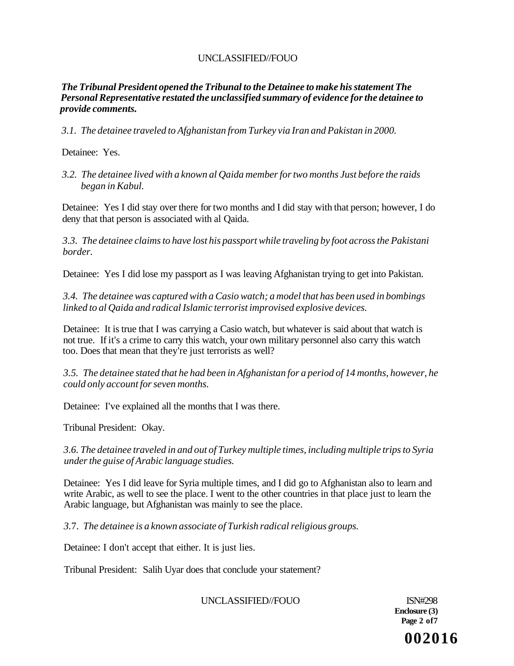#### *The Tribunal President opened the Tribunal to the Detainee to make his statement The Personal Representative restated the unclassified summary of evidence for the detainee to provide comments.*

*3.1. The detainee traveled to Afghanistan from Turkey via Iran and Pakistan in 2000.* 

Detainee: Yes.

*3.2. The detainee lived with a known al Qaida member for two months Just before the raids began in Kabul.* 

Detainee: Yes I did stay over there for two months and I did stay with that person; however, I do deny that that person is associated with al Qaida.

*3.3. The detainee claims to have lost his passport while traveling by foot across the Pakistani border.* 

Detainee: Yes I did lose my passport as I was leaving Afghanistan trying to get into Pakistan.

*3.4. The detainee was captured with a Casio watch; a model that has been used in bombings linked to al Qaida and radical Islamic terrorist improvised explosive devices.* 

Detainee: It is true that I was carrying a Casio watch, but whatever is said about that watch is not true. If it's a crime to carry this watch, your own military personnel also carry this watch too. Does that mean that they're just terrorists as well?

*3.5. The detainee stated that he had been in Afghanistan for a period of 14 months, however, he could only account for seven months.* 

Detainee: I've explained all the months that I was there.

Tribunal President: Okay.

*3.6. The detainee traveled in and out of Turkey multiple times, including multiple trips to Syria under the guise of Arabic language studies.* 

Detainee: Yes I did leave for Syria multiple times, and I did go to Afghanistan also to learn and write Arabic, as well to see the place. I went to the other countries in that place just to learn the Arabic language, but Afghanistan was mainly to see the place.

*3.*7. *The detainee is a known associate of Turkish radical religious groups.* 

Detainee: I don't accept that either. It is just lies.

Tribunal President: Salih Uyar does that conclude your statement?

#### UNCLASSIFIED//FOUO ISN#298

**Enclosure (3) Page 2 of7** 

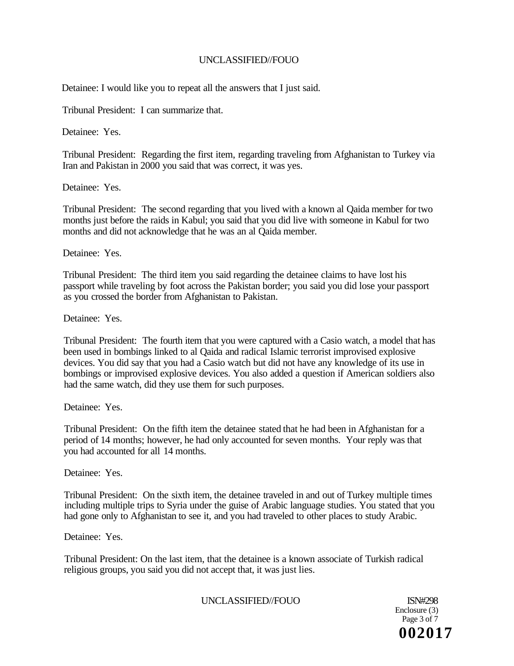Detainee: I would like you to repeat all the answers that I just said.

Tribunal President: I can summarize that.

Detainee: Yes.

Tribunal President: Regarding the first item, regarding traveling from Afghanistan to Turkey via Iran and Pakistan in 2000 you said that was correct, it was yes.

Detainee: Yes.

Tribunal President: The second regarding that you lived with a known al Qaida member for two months just before the raids in Kabul; you said that you did live with someone in Kabul for two months and did not acknowledge that he was an al Qaida member.

Detainee: Yes.

Tribunal President: The third item you said regarding the detainee claims to have lost his passport while traveling by foot across the Pakistan border; you said you did lose your passport as you crossed the border from Afghanistan to Pakistan.

Detainee: Yes.

Tribunal President: The fourth item that you were captured with a Casio watch, a model that has been used in bombings linked to al Qaida and radical Islamic terrorist improvised explosive devices. You did say that you had a Casio watch but did not have any knowledge of its use in bombings or improvised explosive devices. You also added a question if American soldiers also had the same watch, did they use them for such purposes.

Detainee: Yes.

Tribunal President: On the fifth item the detainee stated that he had been in Afghanistan for a period of 14 months; however, he had only accounted for seven months. Your reply was that you had accounted for all 14 months.

Detainee: Yes.

Tribunal President: On the sixth item, the detainee traveled in and out of Turkey multiple times including multiple trips to Syria under the guise of Arabic language studies. You stated that you had gone only to Afghanistan to see it, and you had traveled to other places to study Arabic.

Detainee: Yes.

Tribunal President: On the last item, that the detainee is a known associate of Turkish radical religious groups, you said you did not accept that, it was just lies.

UNCLASSIFIED//FOUO ISN#298

Enclosure (3) Page 3 of 7 **002017**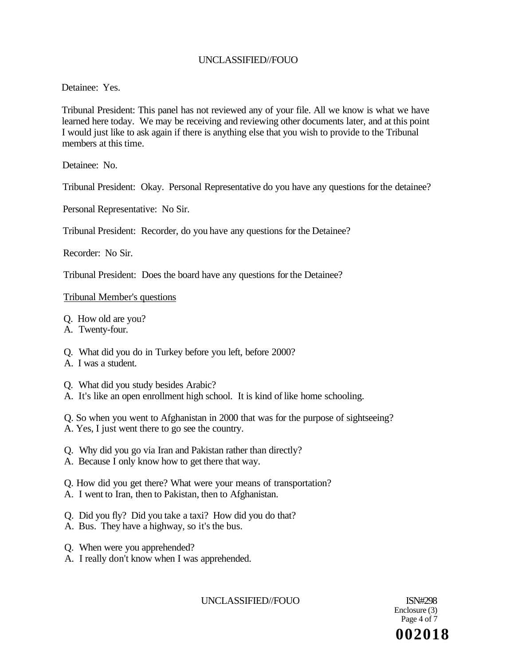#### Detainee: Yes.

Tribunal President: This panel has not reviewed any of your file. All we know is what we have learned here today. We may be receiving and reviewing other documents later, and at this point I would just like to ask again if there is anything else that you wish to provide to the Tribunal members at this time.

Detainee: No.

Tribunal President: Okay. Personal Representative do you have any questions for the detainee?

Personal Representative: No Sir.

Tribunal President: Recorder, do you have any questions for the Detainee?

Recorder: No Sir.

Tribunal President: Does the board have any questions for the Detainee?

#### Tribunal Member's questions

Q. How old are you?

A. Twenty-four.

Q. What did you do in Turkey before you left, before 2000?

A. I was a student.

- Q. What did you study besides Arabic?
- A. It's like an open enrollment high school. It is kind of like home schooling.
- Q. So when you went to Afghanistan in 2000 that was for the purpose of sightseeing? A. Yes, I just went there to go see the country.
- Q. Why did you go via Iran and Pakistan rather than directly?
- A. Because I only know how to get there that way.
- Q. How did you get there? What were your means of transportation? A. I went to Iran, then to Pakistan, then to Afghanistan.
- Q. Did you fly? Did you take a taxi? How did you do that?
- A. Bus. They have a highway, so it's the bus.
- Q. When were you apprehended?
- A. I really don't know when I was apprehended.

UNCLASSIFIED//FOUO ISN#298

Enclosure (3) Page 4 of 7 **002018**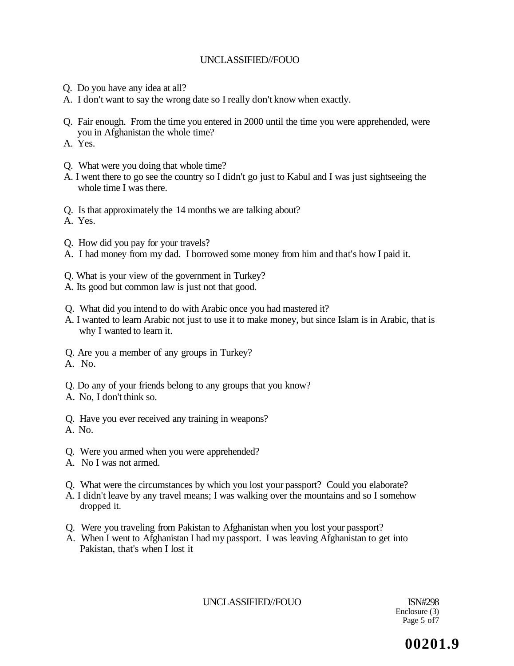- Q. Do you have any idea at all?
- A. I don't want to say the wrong date so I really don't know when exactly.
- Q. Fair enough. From the time you entered in 2000 until the time you were apprehended, were you in Afghanistan the whole time?
- A. Yes.
- Q. What were you doing that whole time?
- A. I went there to go see the country so I didn't go just to Kabul and I was just sightseeing the whole time I was there.
- Q. Is that approximately the 14 months we are talking about?
- A. Yes.
- Q. How did you pay for your travels?
- A. I had money from my dad. I borrowed some money from him and that's how I paid it.
- Q. What is your view of the government in Turkey?
- A. Its good but common law is just not that good.
- Q. What did you intend to do with Arabic once you had mastered it?
- A. I wanted to learn Arabic not just to use it to make money, but since Islam is in Arabic, that is why I wanted to learn it.
- Q. Are you a member of any groups in Turkey?
- A. No.
- Q. Do any of your friends belong to any groups that you know?
- A. No, I don't think so.
- Q. Have you ever received any training in weapons?
- A. No.
- Q. Were you armed when you were apprehended?
- A. No I was not armed.
- Q. What were the circumstances by which you lost your passport? Could you elaborate?
- A. I didn't leave by any travel means; I was walking over the mountains and so I somehow dropped it.
- Q. Were you traveling from Pakistan to Afghanistan when you lost your passport?
- A. When I went to Afghanistan I had my passport. I was leaving Afghanistan to get into Pakistan, that's when I lost it

UNCLASSIFIED//FOUO ISN#298

Enclosure (3) Page 5 of7

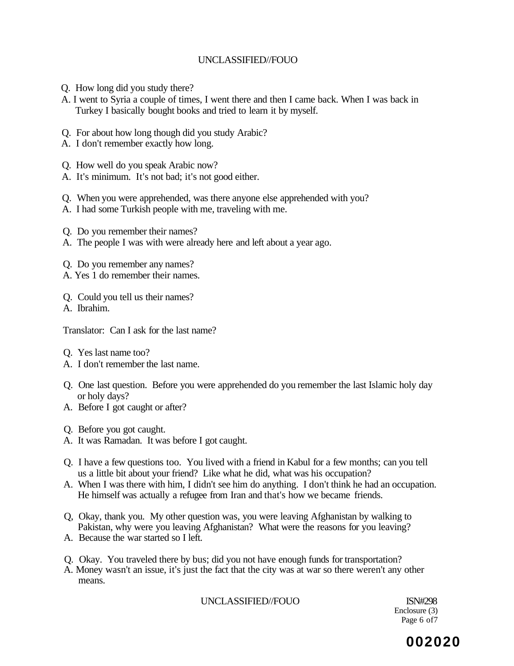- Q. How long did you study there?
- A. I went to Syria a couple of times, I went there and then I came back. When I was back in Turkey I basically bought books and tried to learn it by myself.
- Q. For about how long though did you study Arabic?
- A. I don't remember exactly how long.
- Q. How well do you speak Arabic now?
- A. It's minimum. It's not bad; it's not good either.
- Q. When you were apprehended, was there anyone else apprehended with you?
- A. I had some Turkish people with me, traveling with me.
- Q. Do you remember their names?
- A. The people I was with were already here and left about a year ago.
- Q. Do you remember any names?
- A. Yes 1 do remember their names.
- Q. Could you tell us their names?
- A. Ibrahim.

Translator: Can I ask for the last name?

- Q. Yes last name too?
- A. I don't remember the last name.
- Q. One last question. Before you were apprehended do you remember the last Islamic holy day or holy days?
- A. Before I got caught or after?
- Q. Before you got caught.
- A. It was Ramadan. It was before I got caught.
- Q. I have a few questions too. You lived with a friend in Kabul for a few months; can you tell us a little bit about your friend? Like what he did, what was his occupation?
- A. When I was there with him, I didn't see him do anything. I don't think he had an occupation. He himself was actually a refugee from Iran and that's how we became friends.
- Q, Okay, thank you. My other question was, you were leaving Afghanistan by walking to Pakistan, why were you leaving Afghanistan? What were the reasons for you leaving?
- A. Because the war started so I left.
- Q. Okay. You traveled there by bus; did you not have enough funds for transportation?
- A. Money wasn't an issue, it's just the fact that the city was at war so there weren't any other means.

UNCLASSIFIED//FOUO ISN#298

Enclosure (3) Page 6 of7

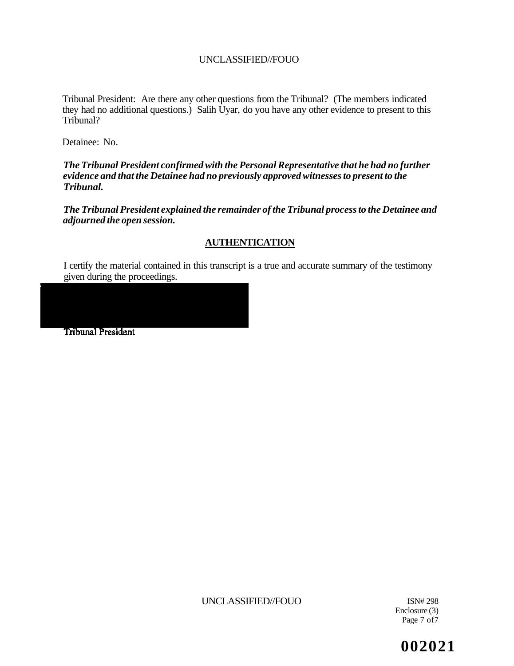Tribunal President: Are there any other questions from the Tribunal? (The members indicated they had no additional questions.) Salih Uyar, do you have any other evidence to present to this Tribunal?

Detainee: No.

*The Tribunal President confirmed with the Personal Representative that he had no further evidence and that the Detainee had no previously approved witnesses to present to the Tribunal.* 

*The Tribunal President explained the remainder of the Tribunal process to the Detainee and adjourned the open session.* 

#### **AUTHENTICATION**

I certify the material contained in this transcript is a true and accurate summary of the testimony given during the proceedings.

**Tribunal President** 

UNCLASSIFIED//FOUO ISN# 298

Enclosure (3) Page 7 of7

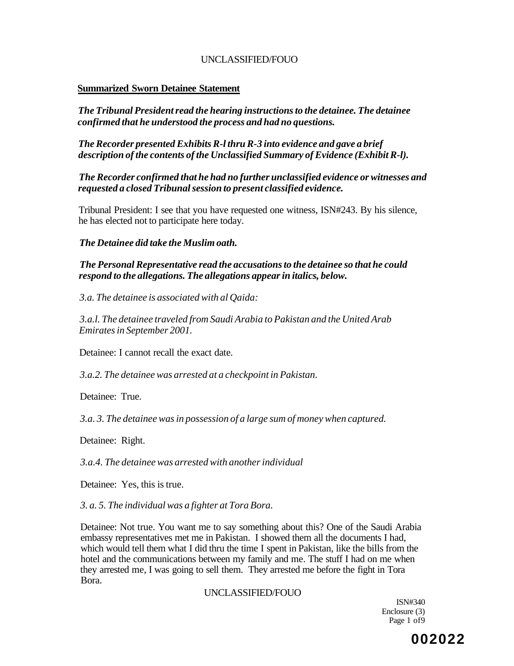#### **Summarized Sworn Detainee Statement**

*The Tribunal President read the hearing instructions to the detainee. The detainee confirmed that he understood the process and had no questions.* 

*The Recorder presented Exhibits R-l thru R-3 into evidence and gave a brief description of the contents of the Unclassified Summary of Evidence (Exhibit R-l).* 

*The Recorder confirmed that he had no further unclassified evidence or witnesses and requested a closed Tribunal session to present classified evidence.* 

Tribunal President: I see that you have requested one witness, ISN#243. By his silence, he has elected not to participate here today.

#### *The Detainee did take the Muslim oath.*

*The Personal Representative read the accusations to the detainee so that he could respond to the allegations. The allegations appear in italics, below.* 

*3.a. The detainee is associated with al Qaida:* 

*3.a.l. The detainee traveled from Saudi Arabia to Pakistan and the United Arab Emirates in September 2001.* 

Detainee: I cannot recall the exact date.

*3.a.2. The detainee was arrested at a checkpoint in Pakistan.* 

Detainee: True.

*3.a. 3. The detainee was in possession of a large sum of money when captured.* 

Detainee: Right.

*3.a.4. The detainee was arrested with another individual* 

Detainee: Yes, this is true.

*3. a. 5. The individual was a fighter at Tora Bora.* 

Detainee: Not true. You want me to say something about this? One of the Saudi Arabia embassy representatives met me in Pakistan. I showed them all the documents I had, which would tell them what I did thru the time I spent in Pakistan, like the bills from the hotel and the communications between my family and me. The stuff I had on me when they arrested me, I was going to sell them. They arrested me before the fight in Tora Bora.

#### UNCLASSIFIED/FOUO

ISN#340 Enclosure (3) Page 1 of9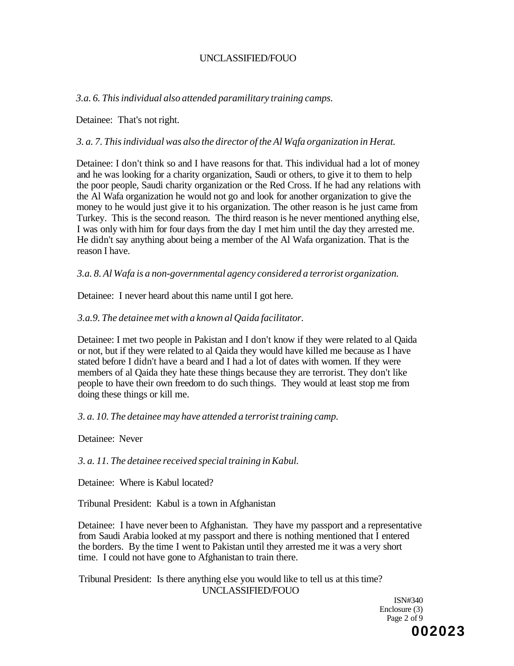#### *3.a. 6. This individual also attended paramilitary training camps.*

Detainee: That's not right.

#### *3. a. 7. This individual was also the director of the Al Wqfa organization in Herat.*

Detainee: I don't think so and I have reasons for that. This individual had a lot of money and he was looking for a charity organization, Saudi or others, to give it to them to help the poor people, Saudi charity organization or the Red Cross. If he had any relations with the Al Wafa organization he would not go and look for another organization to give the money to he would just give it to his organization. The other reason is he just came from Turkey. This is the second reason. The third reason is he never mentioned anything else, I was only with him for four days from the day I met him until the day they arrested me. He didn't say anything about being a member of the Al Wafa organization. That is the reason I have.

*3.a. 8. Al Wafa is a non-governmental agency considered a terrorist organization.* 

Detainee: I never heard about this name until I got here.

#### *3.a.9. The detainee met with a known al Qaida facilitator.*

Detainee: I met two people in Pakistan and I don't know if they were related to al Qaida or not, but if they were related to al Qaida they would have killed me because as I have stated before I didn't have a beard and I had a lot of dates with women. If they were members of al Qaida they hate these things because they are terrorist. They don't like people to have their own freedom to do such things. They would at least stop me from doing these things or kill me.

#### *3. a. 10. The detainee may have attended a terrorist training camp.*

Detainee: Never

*3. a. 11. The detainee received special training in Kabul.* 

Detainee: Where is Kabul located?

Tribunal President: Kabul is a town in Afghanistan

Detainee: I have never been to Afghanistan. They have my passport and a representative from Saudi Arabia looked at my passport and there is nothing mentioned that I entered the borders. By the time I went to Pakistan until they arrested me it was a very short time. I could not have gone to Afghanistan to train there.

Tribunal President: Is there anything else you would like to tell us at this time? UNCLASSIFIED/FOUO

ISN#340 Enclosure (3) Page 2 of 9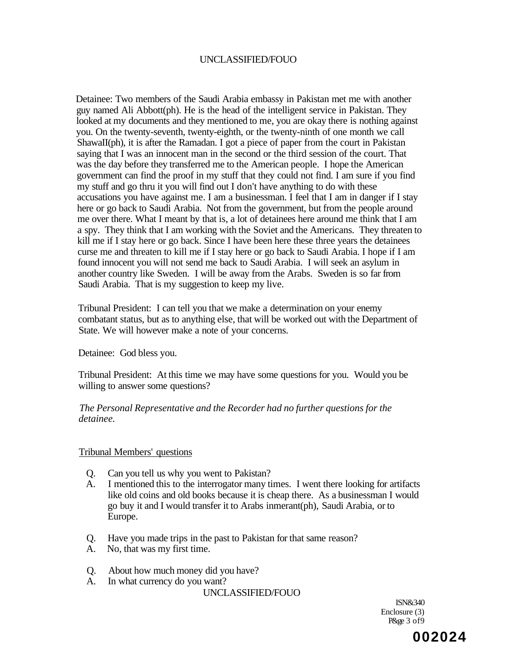Detainee: Two members of the Saudi Arabia embassy in Pakistan met me with another guy named Ali Abbott(ph). He is the head of the intelligent service in Pakistan. They looked at my documents and they mentioned to me, you are okay there is nothing against you. On the twenty-seventh, twenty-eighth, or the twenty-ninth of one month we call ShawaII(ph), it is after the Ramadan. I got a piece of paper from the court in Pakistan saying that I was an innocent man in the second or the third session of the court. That was the day before they transferred me to the American people. I hope the American government can find the proof in my stuff that they could not find. I am sure if you find my stuff and go thru it you will find out I don't have anything to do with these accusations you have against me. I am a businessman. I feel that I am in danger if I stay here or go back to Saudi Arabia. Not from the government, but from the people around me over there. What I meant by that is, a lot of detainees here around me think that I am a spy. They think that I am working with the Soviet and the Americans. They threaten to kill me if I stay here or go back. Since I have been here these three years the detainees curse me and threaten to kill me if I stay here or go back to Saudi Arabia. I hope if I am found innocent you will not send me back to Saudi Arabia. I will seek an asylum in another country like Sweden. I will be away from the Arabs. Sweden is so far from Saudi Arabia. That is my suggestion to keep my live.

Tribunal President: I can tell you that we make a determination on your enemy combatant status, but as to anything else, that will be worked out with the Department of State. We will however make a note of your concerns.

Detainee: God bless you.

Tribunal President: At this time we may have some questions for you. Would you be willing to answer some questions?

#### *The Personal Representative and the Recorder had no further questions for the detainee.*

#### Tribunal Members' questions

- Q. Can you tell us why you went to Pakistan?
- A. I mentioned this to the interrogator many times. I went there looking for artifacts like old coins and old books because it is cheap there. As a businessman I would go buy it and I would transfer it to Arabs inmerant(ph), Saudi Arabia, or to Europe.
- Q. Have you made trips in the past to Pakistan for that same reason?
- A. No, that was my first time.
- Q. About how much money did you have?
- A. In what currency do you want?

UNCLASSIFIED/FOUO

ISN&340 Enclosure (3) P&ge 3 of 9

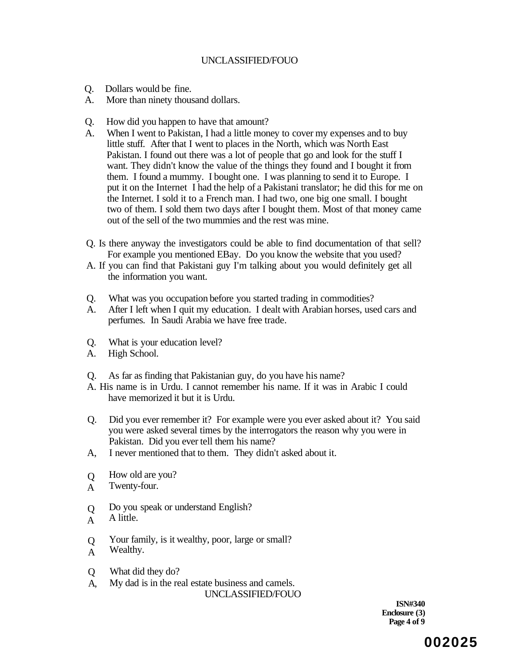- Q. Dollars would be fine.
- A. More than ninety thousand dollars.
- Q. How did you happen to have that amount?
- A. When I went to Pakistan, I had a little money to cover my expenses and to buy little stuff. After that I went to places in the North, which was North East Pakistan. I found out there was a lot of people that go and look for the stuff I want. They didn't know the value of the things they found and I bought it from them. I found a mummy. I bought one. I was planning to send it to Europe. I put it on the Internet I had the help of a Pakistani translator; he did this for me on the Internet. I sold it to a French man. I had two, one big one small. I bought two of them. I sold them two days after I bought them. Most of that money came out of the sell of the two mummies and the rest was mine.
- Q. Is there anyway the investigators could be able to find documentation of that sell? For example you mentioned EBay. Do you know the website that you used?
- A. If you can find that Pakistani guy I'm talking about you would definitely get all the information you want.
- Q. What was you occupation before you started trading in commodities?
- A. After I left when I quit my education. I dealt with Arabian horses, used cars and perfumes. In Saudi Arabia we have free trade.
- Q. What is your education level?
- A. High School.
- Q. As far as finding that Pakistanian guy, do you have his name?
- A. His name is in Urdu. I cannot remember his name. If it was in Arabic I could have memorized it but it is Urdu.
- Q. Did you ever remember it? For example were you ever asked about it? You said you were asked several times by the interrogators the reason why you were in Pakistan. Did you ever tell them his name?
- A, I never mentioned that to them. They didn't asked about it.
- $\overline{O}$ How old are you?
- A Twenty-four.
- Q Do you speak or understand English?
- A A little.
- Q Your family, is it wealthy, poor, large or small?
- A Wealthy.
- $\overline{O}$ What did they do?
- $A_{\cdot}$ My dad is in the real estate business and camels.

UNCLASSIFIED/FOUO

**ISN#340 Enclosure (3) Page 4 of 9**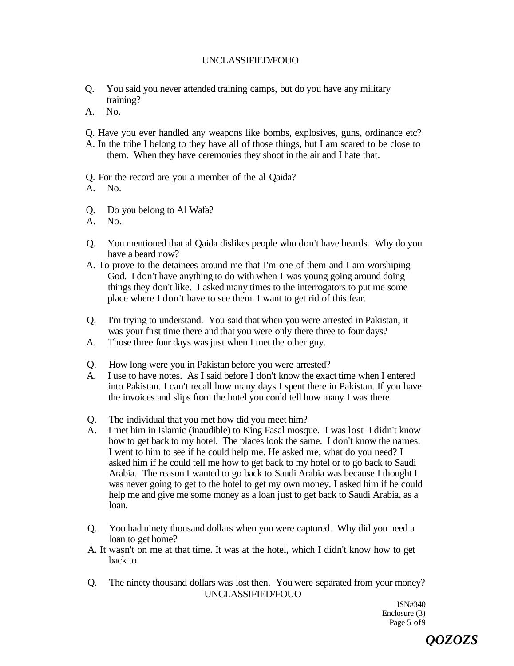- Q. You said you never attended training camps, but do you have any military training?
- A. No.

Q. Have you ever handled any weapons like bombs, explosives, guns, ordinance etc?

A. In the tribe I belong to they have all of those things, but I am scared to be close to them. When they have ceremonies they shoot in the air and I hate that.

Q. For the record are you a member of the al Qaida?

- A. No.
- Q. Do you belong to Al Wafa?
- A. No.
- Q. You mentioned that al Qaida dislikes people who don't have beards. Why do you have a beard now?
- A. To prove to the detainees around me that I'm one of them and I am worshiping God. I don't have anything to do with when 1 was young going around doing things they don't like. I asked many times to the interrogators to put me some place where I don't have to see them. I want to get rid of this fear.
- Q. I'm trying to understand. You said that when you were arrested in Pakistan, it was your first time there and that you were only there three to four days?
- A. Those three four days was just when I met the other guy.
- Q. How long were you in Pakistan before you were arrested?
- A. I use to have notes. As I said before I don't know the exact time when I entered into Pakistan. I can't recall how many days I spent there in Pakistan. If you have the invoices and slips from the hotel you could tell how many I was there.
- Q. The individual that you met how did you meet him?
- A. I met him in Islamic (inaudible) to King Fasal mosque. I was lost I didn't know how to get back to my hotel. The places look the same. I don't know the names. I went to him to see if he could help me. He asked me, what do you need? I asked him if he could tell me how to get back to my hotel or to go back to Saudi Arabia. The reason I wanted to go back to Saudi Arabia was because I thought I was never going to get to the hotel to get my own money. I asked him if he could help me and give me some money as a loan just to get back to Saudi Arabia, as a loan.
- Q. You had ninety thousand dollars when you were captured. Why did you need a loan to get home?
- A. It wasn't on me at that time. It was at the hotel, which I didn't know how to get back to.
- Q. The ninety thousand dollars was lost then. You were separated from your money? UNCLASSIFIED/FOUO

ISN#340 Enclosure (3) Page 5 of9

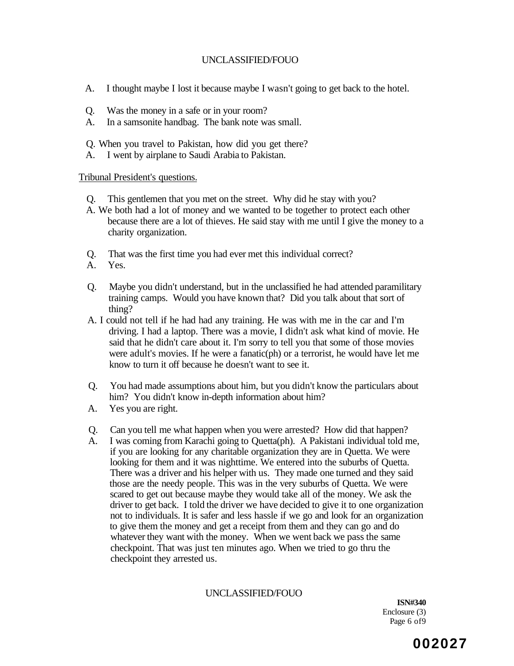- A. I thought maybe I lost it because maybe I wasn't going to get back to the hotel.
- Q. Was the money in a safe or in your room?
- A. In a samsonite handbag. The bank note was small.
- Q. When you travel to Pakistan, how did you get there?
- A. I went by airplane to Saudi Arabia to Pakistan.

Tribunal President's questions.

- Q. This gentlemen that you met on the street. Why did he stay with you?
- A. We both had a lot of money and we wanted to be together to protect each other because there are a lot of thieves. He said stay with me until I give the money to a charity organization.
- Q. That was the first time you had ever met this individual correct?
- A. Yes.
- Q. Maybe you didn't understand, but in the unclassified he had attended paramilitary training camps. Would you have known that? Did you talk about that sort of thing?
- A. I could not tell if he had had any training. He was with me in the car and I'm driving. I had a laptop. There was a movie, I didn't ask what kind of movie. He said that he didn't care about it. I'm sorry to tell you that some of those movies were adult's movies. If he were a fanatic(ph) or a terrorist, he would have let me know to turn it off because he doesn't want to see it.
- Q. You had made assumptions about him, but you didn't know the particulars about him? You didn't know in-depth information about him?
- A. Yes you are right.
- Q. Can you tell me what happen when you were arrested? How did that happen?
- A. I was coming from Karachi going to Quetta(ph). A Pakistani individual told me, if you are looking for any charitable organization they are in Quetta. We were looking for them and it was nighttime. We entered into the suburbs of Quetta. There was a driver and his helper with us. They made one turned and they said those are the needy people. This was in the very suburbs of Quetta. We were scared to get out because maybe they would take all of the money. We ask the driver to get back. I told the driver we have decided to give it to one organization not to individuals. It is safer and less hassle if we go and look for an organization to give them the money and get a receipt from them and they can go and do whatever they want with the money. When we went back we pass the same checkpoint. That was just ten minutes ago. When we tried to go thru the checkpoint they arrested us.

#### UNCLASSIFIED/FOUO

**ISN#340**  Enclosure (3) Page 6 of9

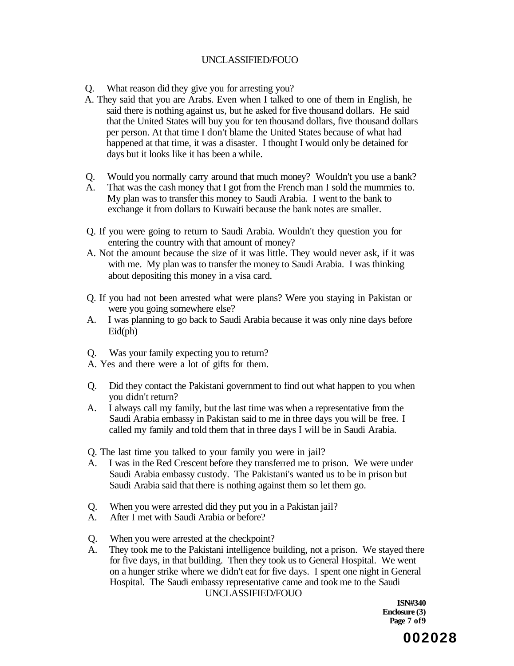- Q. What reason did they give you for arresting you?
- A. They said that you are Arabs. Even when I talked to one of them in English, he said there is nothing against us, but he asked for five thousand dollars. He said that the United States will buy you for ten thousand dollars, five thousand dollars per person. At that time I don't blame the United States because of what had happened at that time, it was a disaster. I thought I would only be detained for days but it looks like it has been a while.
- Q. Would you normally carry around that much money? Wouldn't you use a bank?
- A. That was the cash money that I got from the French man I sold the mummies to. My plan was to transfer this money to Saudi Arabia. I went to the bank to exchange it from dollars to Kuwaiti because the bank notes are smaller.
- Q. If you were going to return to Saudi Arabia. Wouldn't they question you for entering the country with that amount of money?
- A. Not the amount because the size of it was little. They would never ask, if it was with me. My plan was to transfer the money to Saudi Arabia. I was thinking about depositing this money in a visa card.
- Q. If you had not been arrested what were plans? Were you staying in Pakistan or were you going somewhere else?
- A. I was planning to go back to Saudi Arabia because it was only nine days before Eid(ph)
- Q. Was your family expecting you to return?
- A. Yes and there were a lot of gifts for them.
- Q. Did they contact the Pakistani government to find out what happen to you when you didn't return?
- A. I always call my family, but the last time was when a representative from the Saudi Arabia embassy in Pakistan said to me in three days you will be free. I called my family and told them that in three days I will be in Saudi Arabia.

Q. The last time you talked to your family you were in jail?

- A. I was in the Red Crescent before they transferred me to prison. We were under Saudi Arabia embassy custody. The Pakistani's wanted us to be in prison but Saudi Arabia said that there is nothing against them so let them go.
- Q. When you were arrested did they put you in a Pakistan jail?
- A. After I met with Saudi Arabia or before?
- Q. When you were arrested at the checkpoint?
- A. They took me to the Pakistani intelligence building, not a prison. We stayed there for five days, in that building. Then they took us to General Hospital. We went on a hunger strike where we didn't eat for five days. I spent one night in General Hospital. The Saudi embassy representative came and took me to the Saudi UNCLASSIFIED/FOUO

**ISN#340 Enclosure (3) Page 7 of9** 

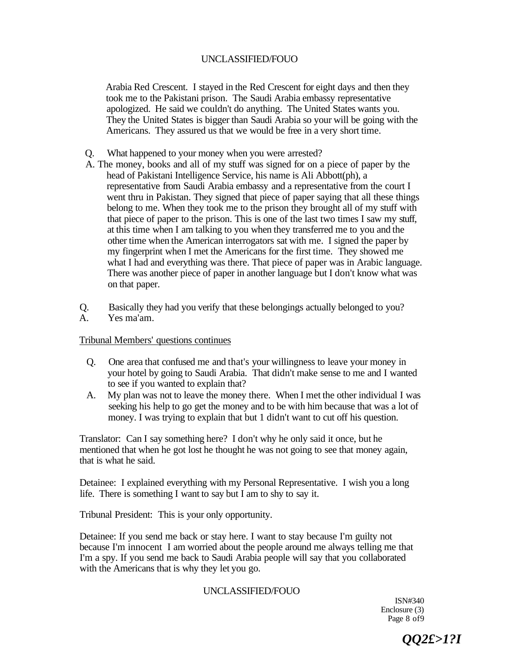Arabia Red Crescent. I stayed in the Red Crescent for eight days and then they took me to the Pakistani prison. The Saudi Arabia embassy representative apologized. He said we couldn't do anything. The United States wants you. They the United States is bigger than Saudi Arabia so your will be going with the Americans. They assured us that we would be free in a very short time.

- Q. What happened to your money when you were arrested?
- A. The money, books and all of my stuff was signed for on a piece of paper by the head of Pakistani Intelligence Service, his name is Ali Abbott(ph), a representative from Saudi Arabia embassy and a representative from the court I went thru in Pakistan. They signed that piece of paper saying that all these things belong to me. When they took me to the prison they brought all of my stuff with that piece of paper to the prison. This is one of the last two times I saw my stuff, at this time when I am talking to you when they transferred me to you and the other time when the American interrogators sat with me. I signed the paper by my fingerprint when I met the Americans for the first time. They showed me what I had and everything was there. That piece of paper was in Arabic language. There was another piece of paper in another language but I don't know what was on that paper.

Q. Basically they had you verify that these belongings actually belonged to you?<br>A. Yes ma'am. Yes ma'am.

Tribunal Members' questions continues

- Q. One area that confused me and that's your willingness to leave your money in your hotel by going to Saudi Arabia. That didn't make sense to me and I wanted to see if you wanted to explain that?
- A. My plan was not to leave the money there. When I met the other individual I was seeking his help to go get the money and to be with him because that was a lot of money. I was trying to explain that but 1 didn't want to cut off his question.

Translator: Can I say something here? I don't why he only said it once, but he mentioned that when he got lost he thought he was not going to see that money again, that is what he said.

Detainee: I explained everything with my Personal Representative. I wish you a long life. There is something I want to say but I am to shy to say it.

Tribunal President: This is your only opportunity.

Detainee: If you send me back or stay here. I want to stay because I'm guilty not because I'm innocent I am worried about the people around me always telling me that I'm a spy. If you send me back to Saudi Arabia people will say that you collaborated with the Americans that is why they let you go.

#### UNCLASSIFIED/FOUO

ISN#340 Enclosure (3) Page 8 of9

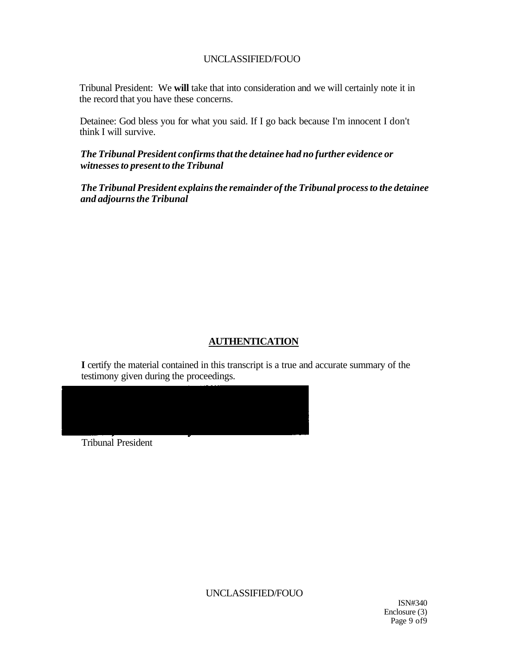Tribunal President: We **will** take that into consideration and we will certainly note it in the record that you have these concerns.

Detainee: God bless you for what you said. If I go back because I'm innocent I don't think I will survive.

*The Tribunal President confirms that the detainee had no further evidence or witnesses to present to the Tribunal* 

*The Tribunal President explains the remainder of the Tribunal process to the detainee and adjourns the Tribunal* 

### **AUTHENTICATION**

**I** certify the material contained in this transcript is a true and accurate summary of the testimony given during the proceedings.

Tribunal President

UNCLASSIFIED/FOUO

ISN#340 Enclosure (3) Page 9 of 9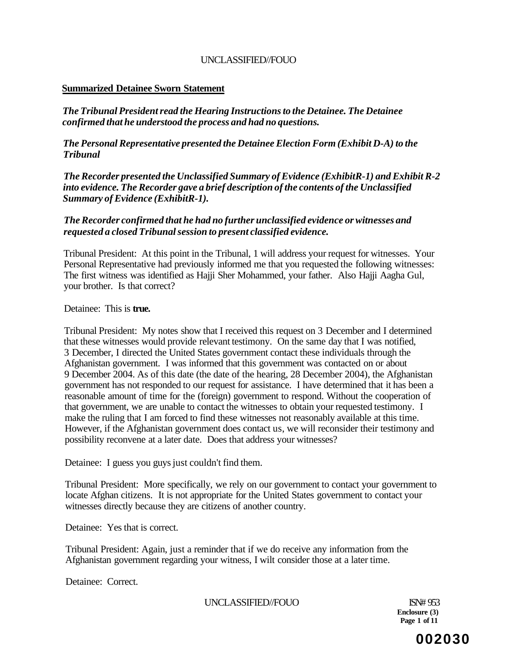#### **Summarized Detainee Sworn Statement**

*The Tribunal President read the Hearing Instructions to the Detainee. The Detainee confirmed that he understood the process and had no questions.* 

*The Personal Representative presented the Detainee Election Form (Exhibit D-A) to the Tribunal* 

*The Recorder presented the Unclassified Summary of Evidence (ExhibitR-1) and Exhibit R-2 into evidence. The Recorder gave a brief description of the contents of the Unclassified Summary of Evidence (ExhibitR-1).* 

#### *The Recorder confirmed that he had no further unclassified evidence or witnesses and requested a closed Tribunal session to present classified evidence.*

Tribunal President: At this point in the Tribunal, 1 will address your request for witnesses. Your Personal Representative had previously informed me that you requested the following witnesses: The first witness was identified as Hajji Sher Mohammed, your father. Also Hajji Aagha Gul, your brother. Is that correct?

Detainee: This is **true.** 

Tribunal President: My notes show that I received this request on 3 December and I determined that these witnesses would provide relevant testimony. On the same day that I was notified, 3 December, I directed the United States government contact these individuals through the Afghanistan government. I was informed that this government was contacted on or about 9 December 2004. As of this date (the date of the hearing, 28 December 2004), the Afghanistan government has not responded to our request for assistance. I have determined that it has been a reasonable amount of time for the (foreign) government to respond. Without the cooperation of that government, we are unable to contact the witnesses to obtain your requested testimony. I make the ruling that I am forced to find these witnesses not reasonably available at this time. However, if the Afghanistan government does contact us, we will reconsider their testimony and possibility reconvene at a later date. Does that address your witnesses?

Detainee: I guess you guys just couldn't find them.

Tribunal President: More specifically, we rely on our government to contact your government to locate Afghan citizens. It is not appropriate for the United States government to contact your witnesses directly because they are citizens of another country.

Detainee: Yes that is correct.

Tribunal President: Again, just a reminder that if we do receive any information from the Afghanistan government regarding your witness, I wilt consider those at a later time.

Detainee: Correct.

UNCLASSIFIED//FOUO ISN# 953

**Enclosure (3) Page 1 of 11** 

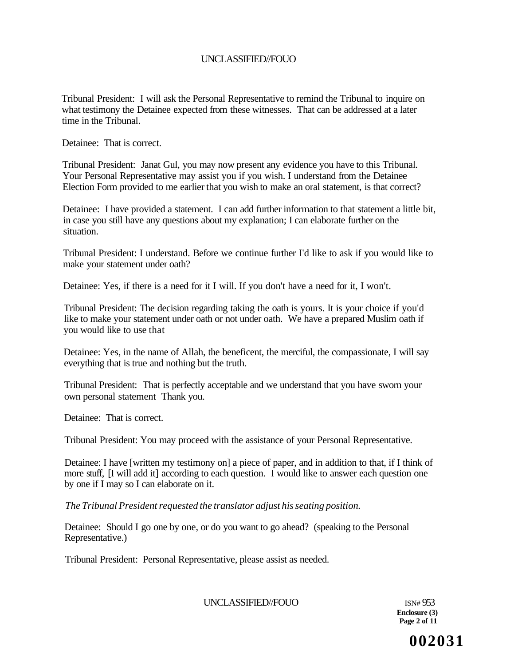Tribunal President: I will ask the Personal Representative to remind the Tribunal to inquire on what testimony the Detainee expected from these witnesses. That can be addressed at a later time in the Tribunal.

Detainee: That is correct.

Tribunal President: Janat Gul, you may now present any evidence you have to this Tribunal. Your Personal Representative may assist you if you wish. I understand from the Detainee Election Form provided to me earlier that you wish to make an oral statement, is that correct?

Detainee: I have provided a statement. I can add further information to that statement a little bit, in case you still have any questions about my explanation; I can elaborate further on the situation.

Tribunal President: I understand. Before we continue further I'd like to ask if you would like to make your statement under oath?

Detainee: Yes, if there is a need for it I will. If you don't have a need for it, I won't.

Tribunal President: The decision regarding taking the oath is yours. It is your choice if you'd like to make your statement under oath or not under oath. We have a prepared Muslim oath if you would like to use that

Detainee: Yes, in the name of Allah, the beneficent, the merciful, the compassionate, I will say everything that is true and nothing but the truth.

Tribunal President: That is perfectly acceptable and we understand that you have sworn your own personal statement Thank you.

Detainee: That is correct.

Tribunal President: You may proceed with the assistance of your Personal Representative.

Detainee: I have [written my testimony on] a piece of paper, and in addition to that, if I think of more stuff, [I will add it] according to each question. I would like to answer each question one by one if I may so I can elaborate on it.

*The Tribunal President requested the translator adjust his seating position.* 

Detainee: Should I go one by one, or do you want to go ahead? (speaking to the Personal Representative.)

Tribunal President: Personal Representative, please assist as needed.

UNCLASSIFIED//FOUO ISN# 953

**Enclosure (3) Page 2 of 11** 

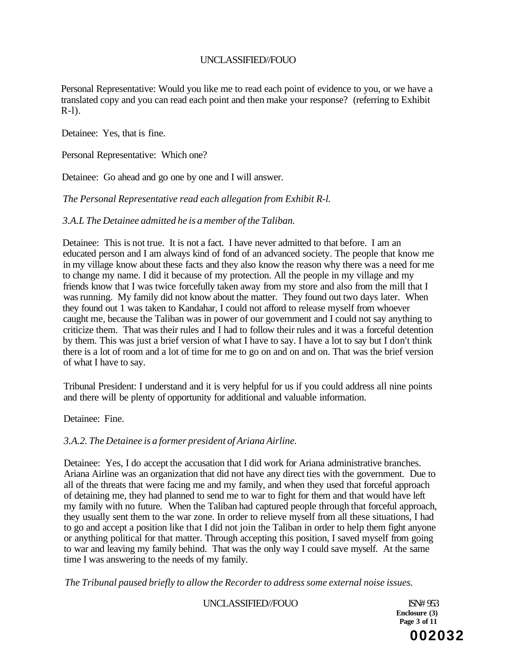Personal Representative: Would you like me to read each point of evidence to you, or we have a translated copy and you can read each point and then make your response? (referring to Exhibit R-l).

Detainee: Yes, that is fine.

Personal Representative: Which one?

Detainee: Go ahead and go one by one and I will answer.

*The Personal Representative read each allegation from Exhibit R-l.* 

*3.A.L The Detainee admitted he is a member of the Taliban.* 

Detainee: This is not true. It is not a fact. I have never admitted to that before. I am an educated person and I am always kind of fond of an advanced society. The people that know me in my village know about these facts and they also know the reason why there was a need for me to change my name. I did it because of my protection. All the people in my village and my friends know that I was twice forcefully taken away from my store and also from the mill that I was running. My family did not know about the matter. They found out two days later. When they found out 1 was taken to Kandahar, I could not afford to release myself from whoever caught me, because the Taliban was in power of our government and I could not say anything to criticize them. That was their rules and I had to follow their rules and it was a forceful detention by them. This was just a brief version of what I have to say. I have a lot to say but I don't think there is a lot of room and a lot of time for me to go on and on and on. That was the brief version of what I have to say.

Tribunal President: I understand and it is very helpful for us if you could address all nine points and there will be plenty of opportunity for additional and valuable information.

Detainee: Fine.

*3.A.2. The Detainee is a former president of Ariana Airline.* 

Detainee: Yes, I do accept the accusation that I did work for Ariana administrative branches. Ariana Airline was an organization that did not have any direct ties with the government. Due to all of the threats that were facing me and my family, and when they used that forceful approach of detaining me, they had planned to send me to war to fight for them and that would have left my family with no future. When the Taliban had captured people through that forceful approach, they usually sent them to the war zone. In order to relieve myself from all these situations, I had to go and accept a position like that I did not join the Taliban in order to help them fight anyone or anything political for that matter. Through accepting this position, I saved myself from going to war and leaving my family behind. That was the only way I could save myself. At the same time I was answering to the needs of my family.

*The Tribunal paused briefly to allow the Recorder to address some external noise issues.* 

#### UNCLASSIFIED//FOUO ISN# 953

**Enclosure (3) Page 3 of 11 002032**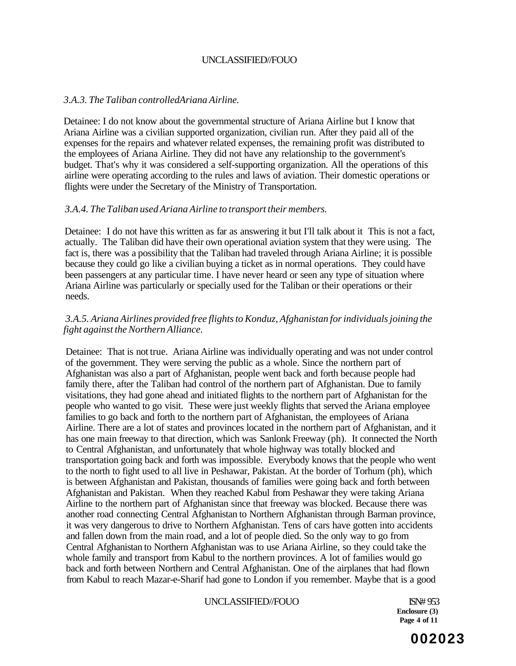#### *3.A.3. The Taliban controlledAriana Airline.*

Detainee: I do not know about the governmental structure of Ariana Airline but I know that Ariana Airline was a civilian supported organization, civilian run. After they paid all of the expenses for the repairs and whatever related expenses, the remaining profit was distributed to the employees of Ariana Airline. They did not have any relationship to the government's budget. That's why it was considered a self-supporting organization. All the operations of this airline were operating according to the rules and laws of aviation. Their domestic operations or flights were under the Secretary of the Ministry of Transportation.

#### *3.A.4. The Taliban used Ariana Airline to transport their members.*

Detainee: I do not have this written as far as answering it but I'll talk about it This is not a fact, actually. The Taliban did have their own operational aviation system that they were using. The fact is, there was a possibility that the Taliban had traveled through Ariana Airline; it is possible because they could go like a civilian buying a ticket as in normal operations. They could have been passengers at any particular time. I have never heard or seen any type of situation where Ariana Airline was particularly or specially used for the Taliban or their operations or their needs.

#### *3.A.5. Ariana Airlines provided free flights to Konduz, Afghanistan for individuals joining the fight against the Northern Alliance.*

Detainee: That is not true. Ariana Airline was individually operating and was not under control of the government. They were serving the public as a whole. Since the northern part of Afghanistan was also a part of Afghanistan, people went back and forth because people had family there, after the Taliban had control of the northern part of Afghanistan. Due to family visitations, they had gone ahead and initiated flights to the northern part of Afghanistan for the people who wanted to go visit. These were just weekly flights that served the Ariana employee families to go back and forth to the northern part of Afghanistan, the employees of Ariana Airline. There are a lot of states and provinces located in the northern part of Afghanistan, and it has one main freeway to that direction, which was Sanlonk Freeway (ph). It connected the North to Central Afghanistan, and unfortunately that whole highway was totally blocked and transportation going back and forth was impossible. Everybody knows that the people who went to the north to fight used to all live in Peshawar, Pakistan. At the border of Torhum (ph), which is between Afghanistan and Pakistan, thousands of families were going back and forth between Afghanistan and Pakistan. When they reached Kabul from Peshawar they were taking Ariana Airline to the northern part of Afghanistan since that freeway was blocked. Because there was another road connecting Central Afghanistan to Northern Afghanistan through Barman province, it was very dangerous to drive to Northern Afghanistan. Tens of cars have gotten into accidents and fallen down from the main road, and a lot of people died. So the only way to go from Central Afghanistan to Northern Afghanistan was to use Ariana Airline, so they could take the whole family and transport from Kabul to the northern provinces. A lot of families would go back and forth between Northern and Central Afghanistan. One of the airplanes that had flown from Kabul to reach Mazar-e-Sharif had gone to London if you remember. Maybe that is a good

#### UNCLASSIFIED//FOUO ISN# 953

**Enclosure (3) Page 4 of 11**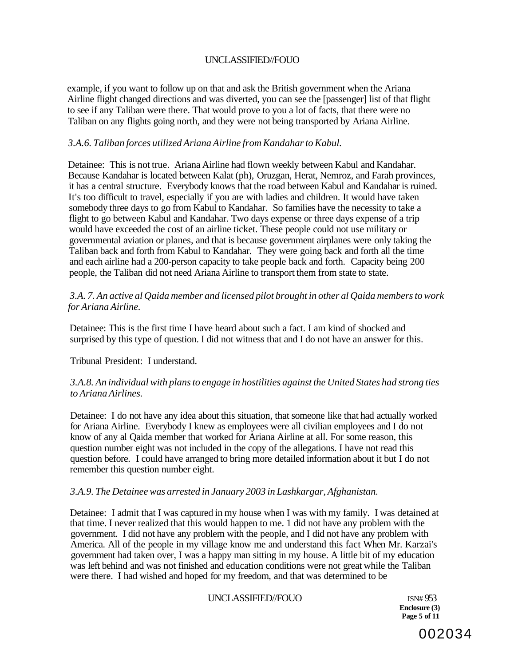example, if you want to follow up on that and ask the British government when the Ariana Airline flight changed directions and was diverted, you can see the [passenger] list of that flight to see if any Taliban were there. That would prove to you a lot of facts, that there were no Taliban on any flights going north, and they were not being transported by Ariana Airline.

#### *3.A.6. Taliban forces utilized Ariana Airline from Kandahar to Kabul.*

Detainee: This is not true. Ariana Airline had flown weekly between Kabul and Kandahar. Because Kandahar is located between Kalat (ph), Oruzgan, Herat, Nemroz, and Farah provinces, it has a central structure. Everybody knows that the road between Kabul and Kandahar is ruined. It's too difficult to travel, especially if you are with ladies and children. It would have taken somebody three days to go from Kabul to Kandahar. So families have the necessity to take a flight to go between Kabul and Kandahar. Two days expense or three days expense of a trip would have exceeded the cost of an airline ticket. These people could not use military or governmental aviation or planes, and that is because government airplanes were only taking the Taliban back and forth from Kabul to Kandahar. They were going back and forth all the time and each airline had a 200-person capacity to take people back and forth. Capacity being 200 people, the Taliban did not need Ariana Airline to transport them from state to state.

#### *3.A. 7. An active al Qaida member and licensed pilot brought in other al Qaida members to work for Ariana Airline.*

Detainee: This is the first time I have heard about such a fact. I am kind of shocked and surprised by this type of question. I did not witness that and I do not have an answer for this.

Tribunal President: I understand.

#### *3.A.8. An individual with plans to engage in hostilities against the United States had strong ties to Ariana Airlines.*

Detainee: I do not have any idea about this situation, that someone like that had actually worked for Ariana Airline. Everybody I knew as employees were all civilian employees and I do not know of any al Qaida member that worked for Ariana Airline at all. For some reason, this question number eight was not included in the copy of the allegations. I have not read this question before. I could have arranged to bring more detailed information about it but I do not remember this question number eight.

#### *3.A.9. The Detainee was arrested in January 2003 in Lashkargar, Afghanistan.*

Detainee: I admit that I was captured in my house when I was with my family. I was detained at that time. I never realized that this would happen to me. 1 did not have any problem with the government. I did not have any problem with the people, and I did not have any problem with America. All of the people in my village know me and understand this fact When Mr. Karzai's government had taken over, I was a happy man sitting in my house. A little bit of my education was left behind and was not finished and education conditions were not great while the Taliban were there. I had wished and hoped for my freedom, and that was determined to be

#### UNCLASSIFIED//FOUO ISN# 953

**Enclosure (3) Page 5 of 11** 

002034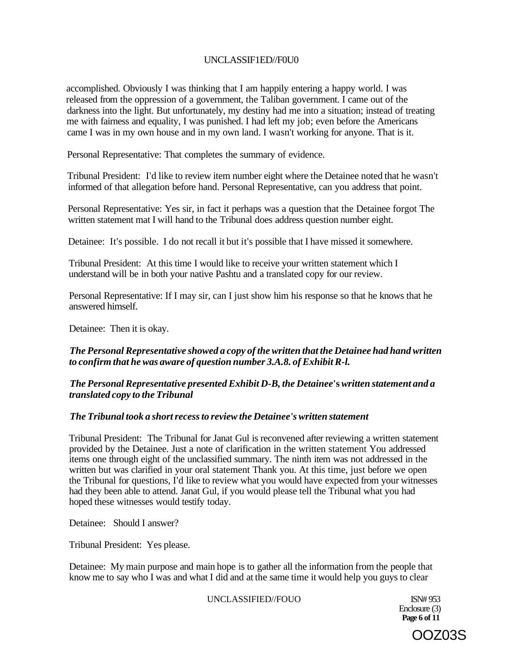#### UNCLASSIF1ED//F0U0

accomplished. Obviously I was thinking that I am happily entering a happy world. I was released from the oppression of a government, the Taliban government. I came out of the darkness into the light. But unfortunately, my destiny had me into a situation; instead of treating me with fairness and equality, I was punished. I had left my job; even before the Americans came I was in my own house and in my own land. I wasn't working for anyone. That is it.

Personal Representative: That completes the summary of evidence.

Tribunal President: I'd like to review item number eight where the Detainee noted that he wasn't informed of that allegation before hand. Personal Representative, can you address that point.

Personal Representative: Yes sir, in fact it perhaps was a question that the Detainee forgot The written statement mat I will hand to the Tribunal does address question number eight.

Detainee: It's possible. I do not recall it but it's possible that I have missed it somewhere.

Tribunal President: At this time I would like to receive your written statement which I understand will be in both your native Pashtu and a translated copy for our review.

Personal Representative: If I may sir, can I just show him his response so that he knows that he answered himself.

Detainee: Then it is okay.

#### *The Personal Representative showed a copy of the written that the Detainee had hand written to confirm that he was aware of question number 3.A.8. of Exhibit R-l.*

#### *The Personal Representative presented Exhibit D-B, the Detainee***'s** *written statement and a translated copy to the Tribunal*

#### *The Tribunal took a short recess to review the Detainee's written statement*

Tribunal President: The Tribunal for Janat Gul is reconvened after reviewing a written statement provided by the Detainee. Just a note of clarification in the written statement You addressed items one through eight of the unclassified summary. The ninth item was not addressed in the written but was clarified in your oral statement Thank you. At this time, just before we open the Tribunal for questions, I'd like to review what you would have expected from your witnesses had they been able to attend. Janat Gul, if you would please tell the Tribunal what you had hoped these witnesses would testify today.

Detainee: Should I answer?

Tribunal President: Yes please.

Detainee: My main purpose and main hope is to gather all the information from the people that know me to say who I was and what I did and at the same time it would help you guys to clear

#### UNCLASSIFIED//FOUO ISN# 953

Enclosure (3) **Page 6 of 11** 

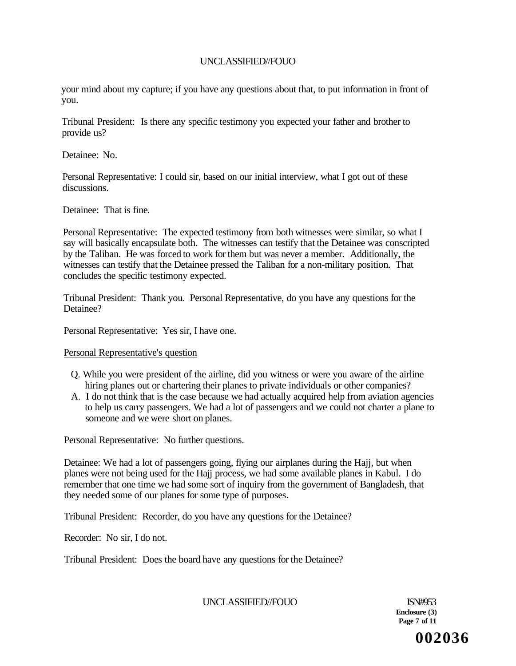your mind about my capture; if you have any questions about that, to put information in front of you.

Tribunal President: Is there any specific testimony you expected your father and brother to provide us?

Detainee: No.

Personal Representative: I could sir, based on our initial interview, what I got out of these discussions.

Detainee: That is fine.

Personal Representative: The expected testimony from both witnesses were similar, so what I say will basically encapsulate both. The witnesses can testify that the Detainee was conscripted by the Taliban. He was forced to work for them but was never a member. Additionally, the witnesses can testify that the Detainee pressed the Taliban for a non-military position. That concludes the specific testimony expected.

Tribunal President: Thank you. Personal Representative, do you have any questions for the Detainee?

Personal Representative: Yes sir, I have one.

Personal Representative's question

- Q. While you were president of the airline, did you witness or were you aware of the airline hiring planes out or chartering their planes to private individuals or other companies?
- A. I do not think that is the case because we had actually acquired help from aviation agencies to help us carry passengers. We had a lot of passengers and we could not charter a plane to someone and we were short on planes.

Personal Representative: No further questions.

Detainee: We had a lot of passengers going, flying our airplanes during the Hajj, but when planes were not being used for the Hajj process, we had some available planes in Kabul. I do remember that one time we had some sort of inquiry from the government of Bangladesh, that they needed some of our planes for some type of purposes.

Tribunal President: Recorder, do you have any questions for the Detainee?

Recorder: No sir, I do not.

Tribunal President: Does the board have any questions for the Detainee?

UNCLASSIFIED//FOUO ISN#953

**Enclosure (3) Page 7 of 11** 

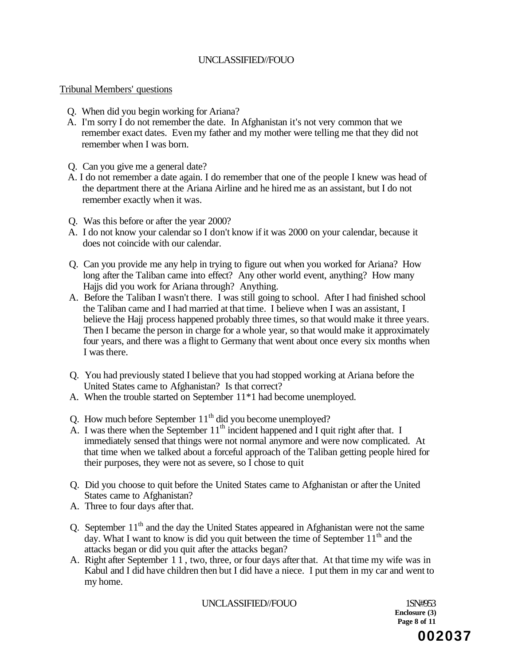#### Tribunal Members' questions

- Q. When did you begin working for Ariana?
- A. I'm sorry I do not remember the date. In Afghanistan it's not very common that we remember exact dates. Even my father and my mother were telling me that they did not remember when I was born.
- Q. Can you give me a general date?
- A. I do not remember a date again. I do remember that one of the people I knew was head of the department there at the Ariana Airline and he hired me as an assistant, but I do not remember exactly when it was.
- Q. Was this before or after the year 2000?
- A. I do not know your calendar so I don't know if it was 2000 on your calendar, because it does not coincide with our calendar.
- Q. Can you provide me any help in trying to figure out when you worked for Ariana? How long after the Taliban came into effect? Any other world event, anything? How many Hajjs did you work for Ariana through? Anything.
- A. Before the Taliban I wasn't there. I was still going to school. After I had finished school the Taliban came and I had married at that time. I believe when I was an assistant, I believe the Hajj process happened probably three times, so that would make it three years. Then I became the person in charge for a whole year, so that would make it approximately four years, and there was a flight to Germany that went about once every six months when I was there.
- Q. You had previously stated I believe that you had stopped working at Ariana before the United States came to Afghanistan? Is that correct?
- A. When the trouble started on September 11\*1 had become unemployed.
- Q. How much before September  $11<sup>th</sup>$  did you become unemployed?
- $\overline{A}$ . I was there when the September 11<sup>th</sup> incident happened and I quit right after that. I immediately sensed that things were not normal anymore and were now complicated. At that time when we talked about a forceful approach of the Taliban getting people hired for their purposes, they were not as severe, so I chose to quit
- Q. Did you choose to quit before the United States came to Afghanistan or after the United States came to Afghanistan?
- A. Three to four days after that.
- Q. September  $11<sup>th</sup>$  and the day the United States appeared in Afghanistan were not the same day. What I want to know is did you quit between the time of September  $11<sup>th</sup>$  and the attacks began or did you quit after the attacks began?
- A. Right after September 11 , two, three, or four days after that. At that time my wife was in Kabul and I did have children then but I did have a niece. I put them in my car and went to my home.

UNCLASSIFIED//FOUO 1SN#953

**Enclosure (3) Page 8 of 11** 

**002037**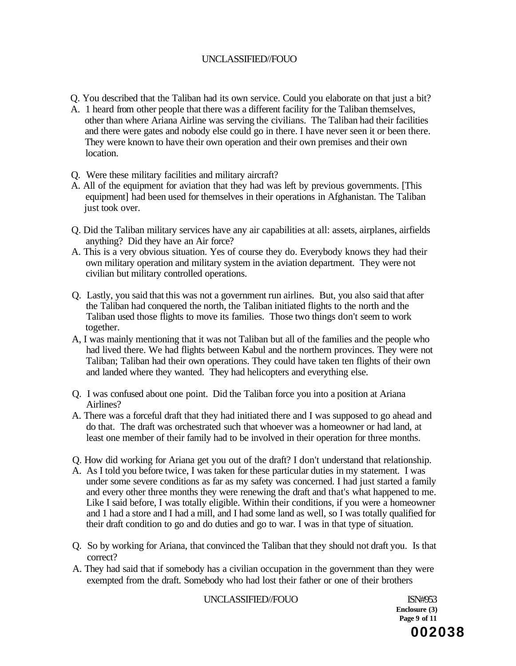- Q. You described that the Taliban had its own service. Could you elaborate on that just a bit?
- A. 1 heard from other people that there was a different facility for the Taliban themselves, other than where Ariana Airline was serving the civilians. The Taliban had their facilities and there were gates and nobody else could go in there. I have never seen it or been there. They were known to have their own operation and their own premises and their own location.
- Q. Were these military facilities and military aircraft?
- A. All of the equipment for aviation that they had was left by previous governments. [This equipment] had been used for themselves in their operations in Afghanistan. The Taliban just took over.
- Q. Did the Taliban military services have any air capabilities at all: assets, airplanes, airfields anything? Did they have an Air force?
- A. This is a very obvious situation. Yes of course they do. Everybody knows they had their own military operation and military system in the aviation department. They were not civilian but military controlled operations.
- Q. Lastly, you said that this was not a government run airlines. But, you also said that after the Taliban had conquered the north, the Taliban initiated flights to the north and the Taliban used those flights to move its families. Those two things don't seem to work together.
- A, I was mainly mentioning that it was not Taliban but all of the families and the people who had lived there. We had flights between Kabul and the northern provinces. They were not Taliban; Taliban had their own operations. They could have taken ten flights of their own and landed where they wanted. They had helicopters and everything else.
- Q. I was confused about one point. Did the Taliban force you into a position at Ariana Airlines?
- A. There was a forceful draft that they had initiated there and I was supposed to go ahead and do that. The draft was orchestrated such that whoever was a homeowner or had land, at least one member of their family had to be involved in their operation for three months.
- Q. How did working for Ariana get you out of the draft? I don't understand that relationship.
- A. As I told you before twice, I was taken for these particular duties in my statement. I was under some severe conditions as far as my safety was concerned. I had just started a family and every other three months they were renewing the draft and that's what happened to me. Like I said before, I was totally eligible. Within their conditions, if you were a homeowner and 1 had a store and I had a mill, and I had some land as well, so I was totally qualified for their draft condition to go and do duties and go to war. I was in that type of situation.
- Q. So by working for Ariana, that convinced the Taliban that they should not draft you. Is that correct?
- A. They had said that if somebody has a civilian occupation in the government than they were exempted from the draft. Somebody who had lost their father or one of their brothers

UNCLASSIFIED//FOUO ISN#953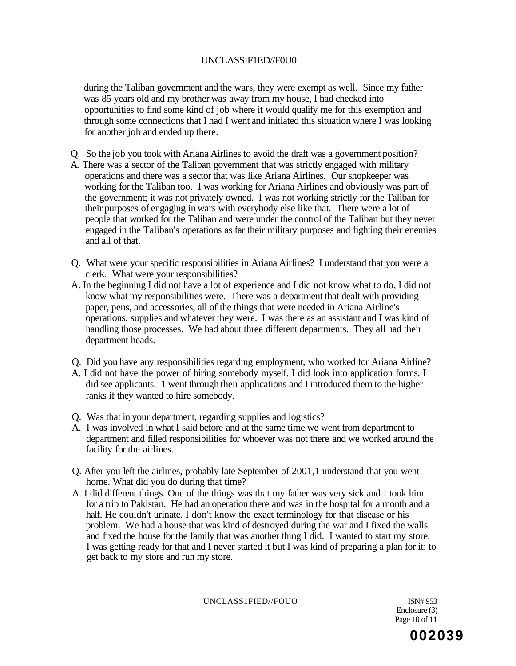#### UNCLASSIF1ED//F0U0

during the Taliban government and the wars, they were exempt as well. Since my father was 85 years old and my brother was away from my house, I had checked into opportunities to find some kind of job where it would qualify me for this exemption and through some connections that I had I went and initiated this situation where I was looking for another job and ended up there.

- Q. So the job you took with Ariana Airlines to avoid the draft was a government position?
- A. There was a sector of the Taliban government that was strictly engaged with military operations and there was a sector that was like Ariana Airlines. Our shopkeeper was working for the Taliban too. I was working for Ariana Airlines and obviously was part of the government; it was not privately owned. I was not working strictly for the Taliban for their purposes of engaging in wars with everybody else like that. There were a lot of people that worked for the Taliban and were under the control of the Taliban but they never engaged in the Taliban's operations as far their military purposes and fighting their enemies and all of that.
- Q. What were your specific responsibilities in Ariana Airlines? I understand that you were a clerk. What were your responsibilities?
- A. In the beginning I did not have a lot of experience and I did not know what to do, I did not know what my responsibilities were. There was a department that dealt with providing paper, pens, and accessories, all of the things that were needed in Ariana Airline's operations, supplies and whatever they were. I was there as an assistant and I was kind of handling those processes. We had about three different departments. They all had their department heads.
- Q. Did you have any responsibilities regarding employment, who worked for Ariana Airline?
- A. I did not have the power of hiring somebody myself. I did look into application forms. I did see applicants. 1 went through their applications and I introduced them to the higher ranks if they wanted to hire somebody.
- Q. Was that in your department, regarding supplies and logistics?
- A. I was involved in what I said before and at the same time we went from department to department and filled responsibilities for whoever was not there and we worked around the facility for the airlines.
- Q. After you left the airlines, probably late September of 2001,1 understand that you went home. What did you do during that time?
- A. I did different things. One of the things was that my father was very sick and I took him for a trip to Pakistan. He had an operation there and was in the hospital for a month and a half. He couldn't urinate. I don't know the exact terminology for that disease or his problem. We had a house that was kind of destroyed during the war and I fixed the walls and fixed the house for the family that was another thing I did. I wanted to start my store. I was getting ready for that and I never started it but I was kind of preparing a plan for it; to get back to my store and run my store.

UNCLASS1FIED//FOUO ISN# 953

Enclosure (3) Page 10 of 11

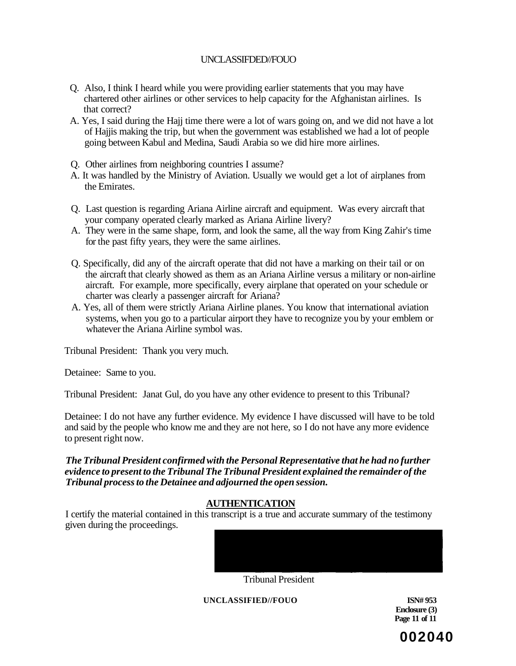- Q. Also, I think I heard while you were providing earlier statements that you may have chartered other airlines or other services to help capacity for the Afghanistan airlines. Is that correct?
- A. Yes, I said during the Hajj time there were a lot of wars going on, and we did not have a lot of Hajjis making the trip, but when the government was established we had a lot of people going between Kabul and Medina, Saudi Arabia so we did hire more airlines.
- Q. Other airlines from neighboring countries I assume?
- A. It was handled by the Ministry of Aviation. Usually we would get a lot of airplanes from the Emirates.
- Q. Last question is regarding Ariana Airline aircraft and equipment. Was every aircraft that your company operated clearly marked as Ariana Airline livery?
- A. They were in the same shape, form, and look the same, all the way from King Zahir's time for the past fifty years, they were the same airlines.
- Q. Specifically, did any of the aircraft operate that did not have a marking on their tail or on the aircraft that clearly showed as them as an Ariana Airline versus a military or non-airline aircraft. For example, more specifically, every airplane that operated on your schedule or charter was clearly a passenger aircraft for Ariana?
- A. Yes, all of them were strictly Ariana Airline planes. You know that international aviation systems, when you go to a particular airport they have to recognize you by your emblem or whatever the Ariana Airline symbol was.

Tribunal President: Thank you very much.

Detainee: Same to you.

Tribunal President: Janat Gul, do you have any other evidence to present to this Tribunal?

Detainee: I do not have any further evidence. My evidence I have discussed will have to be told and said by the people who know me and they are not here, so I do not have any more evidence to present right now.

*The Tribunal President confirmed with the Personal Representative that he had no further evidence to present to the Tribunal The Tribunal President explained the remainder of the Tribunal process to the Detainee and adjourned the open session.* 

#### **AUTHENTICATION**

I certify the material contained in this transcript is a true and accurate summary of the testimony given during the proceedings.



Tribunal President

#### UNCLASSIFIED//FOUO **ISN# 953**

**Enclosure (3) Page 11 of 11** 

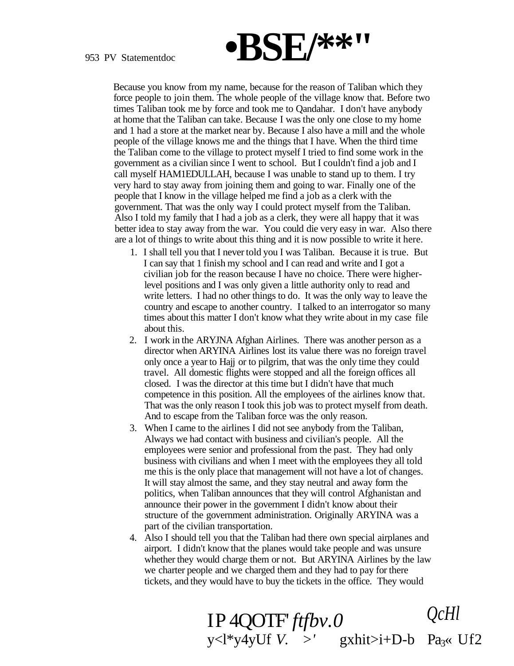# 953 PV Statementdoc **•BSE/\*\*''**

Because you know from my name, because for the reason of Taliban which they force people to join them. The whole people of the village know that. Before two times Taliban took me by force and took me to Qandahar. I don't have anybody at home that the Taliban can take. Because I was the only one close to my home and 1 had a store at the market near by. Because I also have a mill and the whole people of the village knows me and the things that I have. When the third time the Taliban come to the village to protect myself I tried to find some work in the government as a civilian since I went to school. But I couldn't find a job and I call myself HAM1EDULLAH, because I was unable to stand up to them. I try very hard to stay away from joining them and going to war. Finally one of the people that I know in the village helped me find a job as a clerk with the government. That was the only way I could protect myself from the Taliban. Also I told my family that I had a job as a clerk, they were all happy that it was better idea to stay away from the war. You could die very easy in war. Also there are a lot of things to write about this thing and it is now possible to write it here.

- 1. I shall tell you that I never told you I was Taliban. Because it is true. But I can say that 1 finish my school and I can read and write and I got a civilian job for the reason because I have no choice. There were higherlevel positions and I was only given a little authority only to read and write letters. I had no other things to do. It was the only way to leave the country and escape to another country. I talked to an interrogator so many times about this matter I don't know what they write about in my case file about this.
- 2. I work in the ARYJNA Afghan Airlines. There was another person as a director when ARYINA Airlines lost its value there was no foreign travel only once a year to Hajj or to pilgrim, that was the only time they could travel. All domestic flights were stopped and all the foreign offices all closed. I was the director at this time but I didn't have that much competence in this position. All the employees of the airlines know that. That was the only reason I took this job was to protect myself from death. And to escape from the Taliban force was the only reason.
- 3. When I came to the airlines I did not see anybody from the Taliban, Always we had contact with business and civilian's people. All the employees were senior and professional from the past. They had only business with civilians and when I meet with the employees they all told me this is the only place that management will not have a lot of changes. It will stay almost the same, and they stay neutral and away form the politics, when Taliban announces that they will control Afghanistan and announce their power in the government I didn't know about their structure of the government administration. Originally ARYINA was a part of the civilian transportation.
- 4. Also I should tell you that the Taliban had there own special airplanes and airport. I didn't know that the planes would take people and was unsure whether they would charge them or not. But ARYINA Airlines by the law we charter people and we charged them and they had to pay for there tickets, and they would have to buy the tickets in the office. They would

*QcHl* IP 4QOTF' *ftfbv.0* 

 $y < l$ <sup>\*</sup> $y$ 4yUf *V. >'* gxhit>i+D-b Pa<sub>3</sub>« Uf2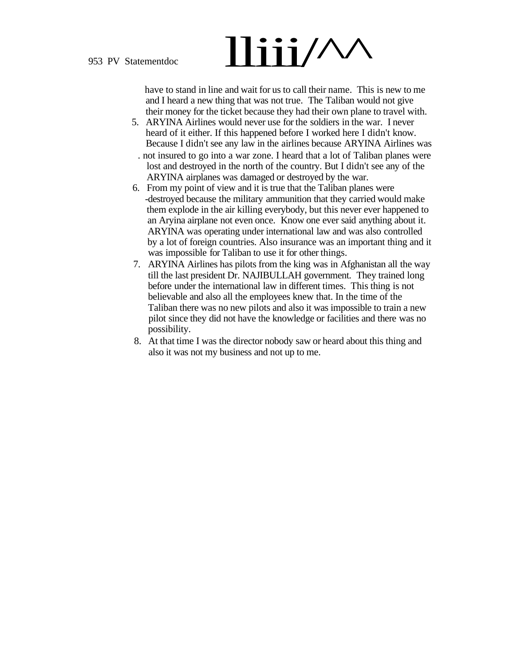# 953 PV Statementdoc  $\prod_{i=1}^{n}$

have to stand in line and wait for us to call their name. This is new to me and I heard a new thing that was not true. The Taliban would not give their money for the ticket because they had their own plane to travel with.

- 5. ARYINA Airlines would never use for the soldiers in the war. I never heard of it either. If this happened before I worked here I didn't know. Because I didn't see any law in the airlines because ARYINA Airlines was . not insured to go into a war zone. I heard that a lot of Taliban planes were
	- lost and destroyed in the north of the country. But I didn't see any of the ARYINA airplanes was damaged or destroyed by the war.
- 6. From my point of view and it is true that the Taliban planes were -destroyed because the military ammunition that they carried would make them explode in the air killing everybody, but this never ever happened to an Aryina airplane not even once. Know one ever said anything about it. ARYINA was operating under international law and was also controlled by a lot of foreign countries. Also insurance was an important thing and it was impossible for Taliban to use it for other things.
- 7. ARYINA Airlines has pilots from the king was in Afghanistan all the way till the last president Dr. NAJIBULLAH government. They trained long before under the international law in different times. This thing is not believable and also all the employees knew that. In the time of the Taliban there was no new pilots and also it was impossible to train a new pilot since they did not have the knowledge or facilities and there was no possibility.
- 8. At that time I was the director nobody saw or heard about this thing and also it was not my business and not up to me.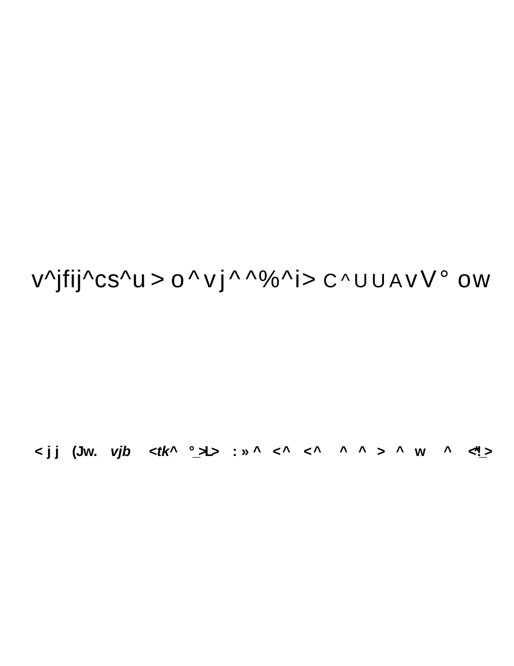## $v^{\lambda}$ jfij^cs^u > o^vj^^%^i> C^UUA v $V^{\circ}$  ow

**< j j (Jw. vjb <tk^ °\_>L> :» ^ <^ <^ ^^>^ w ^ <\*!\_>**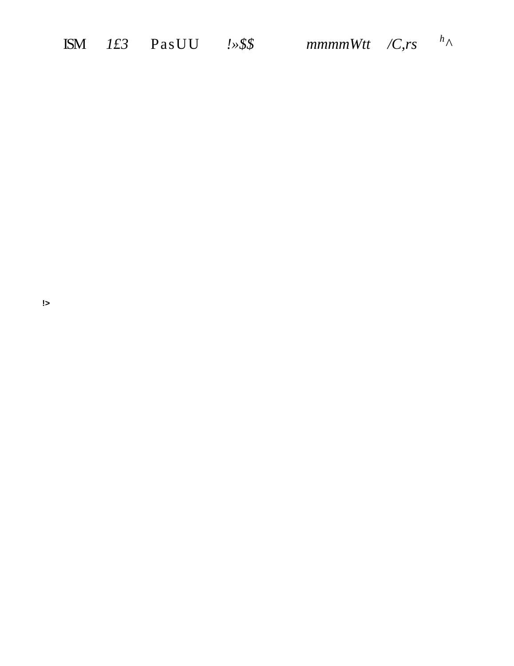**!>**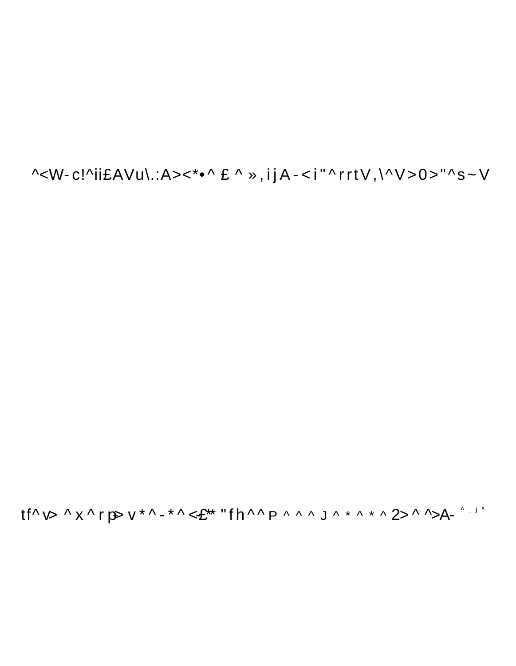^<W- c!^ii£AVu\.:A><\*•^ £ ^ »,ijA-<i"^ r rtV,\^V>0>"^s~ V

tf^v> ^x^r p> v \*^- \*^<£\*\* "fh^^ P ^ ^ ^ J ^ \* ^ \* ^ 2> ^ ^>A- <sup>^-j^</sup>